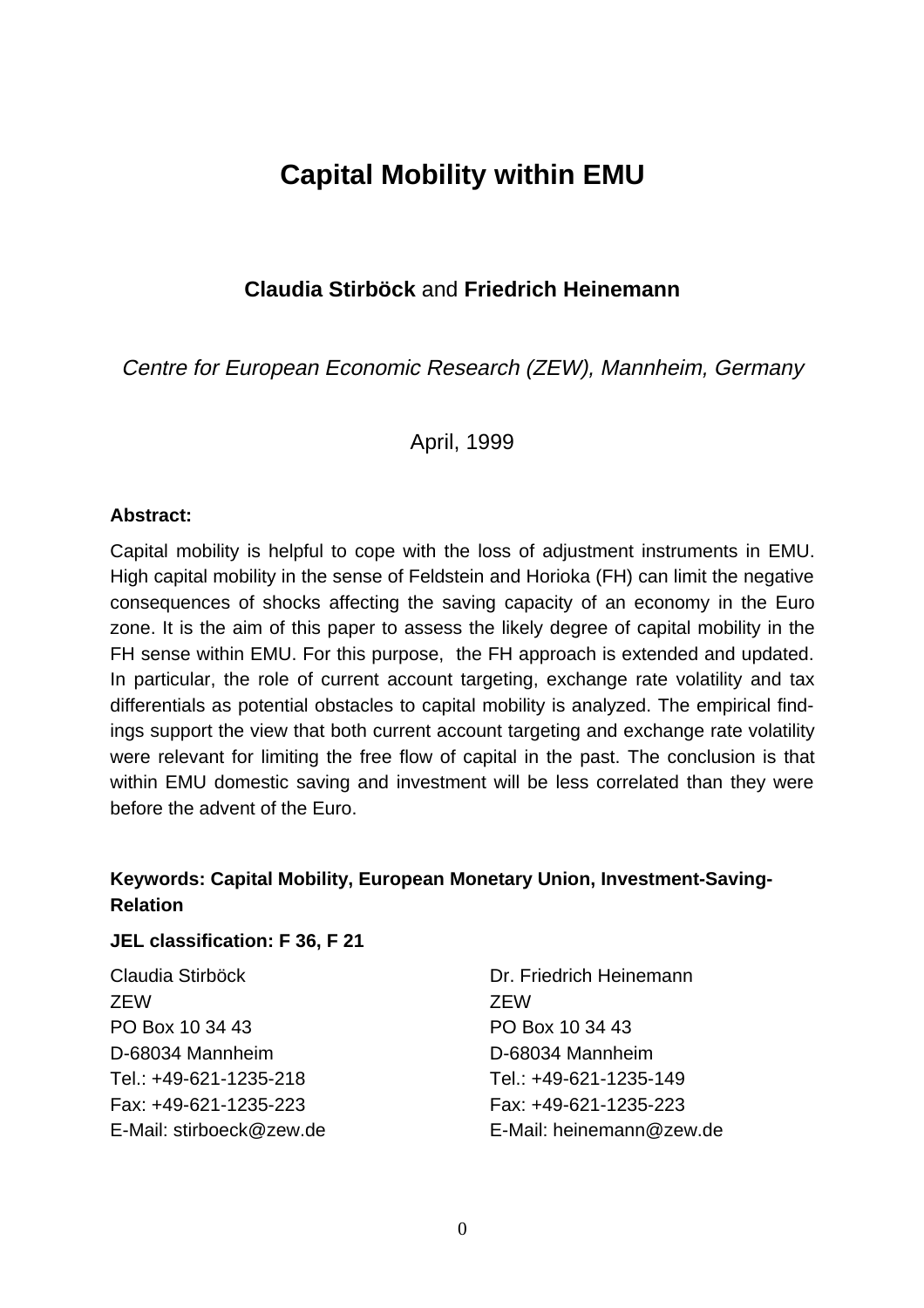# **Capital Mobility within EMU**

### **Claudia Stirböck** and **Friedrich Heinemann**

Centre for European Economic Research (ZEW), Mannheim, Germany

April, 1999

#### **Abstract:**

Capital mobility is helpful to cope with the loss of adjustment instruments in EMU. High capital mobility in the sense of Feldstein and Horioka (FH) can limit the negative consequences of shocks affecting the saving capacity of an economy in the Euro zone. It is the aim of this paper to assess the likely degree of capital mobility in the FH sense within EMU. For this purpose, the FH approach is extended and updated. In particular, the role of current account targeting, exchange rate volatility and tax differentials as potential obstacles to capital mobility is analyzed. The empirical findings support the view that both current account targeting and exchange rate volatility were relevant for limiting the free flow of capital in the past. The conclusion is that within EMU domestic saving and investment will be less correlated than they were before the advent of the Euro.

# **Keywords: Capital Mobility, European Monetary Union, Investment-Saving-Relation**

#### **JEL classification: F 36, F 21**

| Claudia Stirböck         | Dr. Friedrich Heinemann  |
|--------------------------|--------------------------|
| <b>ZEW</b>               | 7FW                      |
| PO Box 10 34 43          | PO Box 10 34 43          |
| D-68034 Mannheim         | D-68034 Mannheim         |
| Tel.: +49-621-1235-218   | Tel.: +49-621-1235-149   |
| Fax: +49-621-1235-223    | Fax: +49-621-1235-223    |
| E-Mail: stirboeck@zew.de | E-Mail: heinemann@zew.de |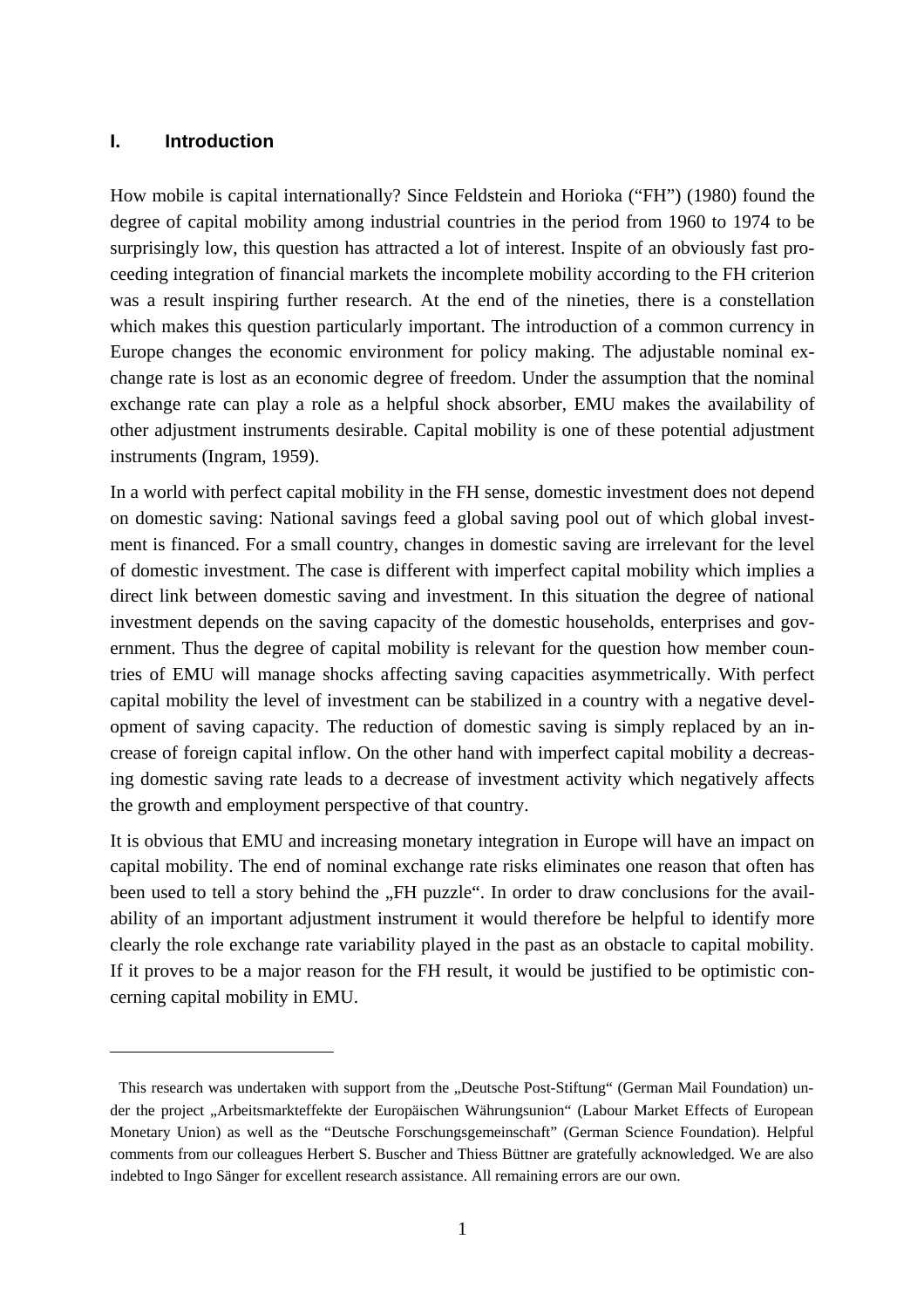#### **I. Introduction**

 $\overline{a}$ 

How mobile is capital internationally? Since Feldstein and Horioka ("FH") (1980) found the degree of capital mobility among industrial countries in the period from 1960 to 1974 to be surprisingly low, this question has attracted a lot of interest. Inspite of an obviously fast proceeding integration of financial markets the incomplete mobility according to the FH criterion was a result inspiring further research. At the end of the nineties, there is a constellation which makes this question particularly important. The introduction of a common currency in Europe changes the economic environment for policy making. The adjustable nominal exchange rate is lost as an economic degree of freedom. Under the assumption that the nominal exchange rate can play a role as a helpful shock absorber, EMU makes the availability of other adjustment instruments desirable. Capital mobility is one of these potential adjustment instruments (Ingram, 1959).

In a world with perfect capital mobility in the FH sense, domestic investment does not depend on domestic saving: National savings feed a global saving pool out of which global investment is financed. For a small country, changes in domestic saving are irrelevant for the level of domestic investment. The case is different with imperfect capital mobility which implies a direct link between domestic saving and investment. In this situation the degree of national investment depends on the saving capacity of the domestic households, enterprises and government. Thus the degree of capital mobility is relevant for the question how member countries of EMU will manage shocks affecting saving capacities asymmetrically. With perfect capital mobility the level of investment can be stabilized in a country with a negative development of saving capacity. The reduction of domestic saving is simply replaced by an increase of foreign capital inflow. On the other hand with imperfect capital mobility a decreasing domestic saving rate leads to a decrease of investment activity which negatively affects the growth and employment perspective of that country.

It is obvious that EMU and increasing monetary integration in Europe will have an impact on capital mobility. The end of nominal exchange rate risks eliminates one reason that often has been used to tell a story behind the ..FH puzzle". In order to draw conclusions for the availability of an important adjustment instrument it would therefore be helpful to identify more clearly the role exchange rate variability played in the past as an obstacle to capital mobility. If it proves to be a major reason for the FH result, it would be justified to be optimistic concerning capital mobility in EMU.

This research was undertaken with support from the "Deutsche Post-Stiftung" (German Mail Foundation) under the project "Arbeitsmarkteffekte der Europäischen Währungsunion" (Labour Market Effects of European Monetary Union) as well as the "Deutsche Forschungsgemeinschaft" (German Science Foundation). Helpful comments from our colleagues Herbert S. Buscher and Thiess Büttner are gratefully acknowledged. We are also indebted to Ingo Sänger for excellent research assistance. All remaining errors are our own.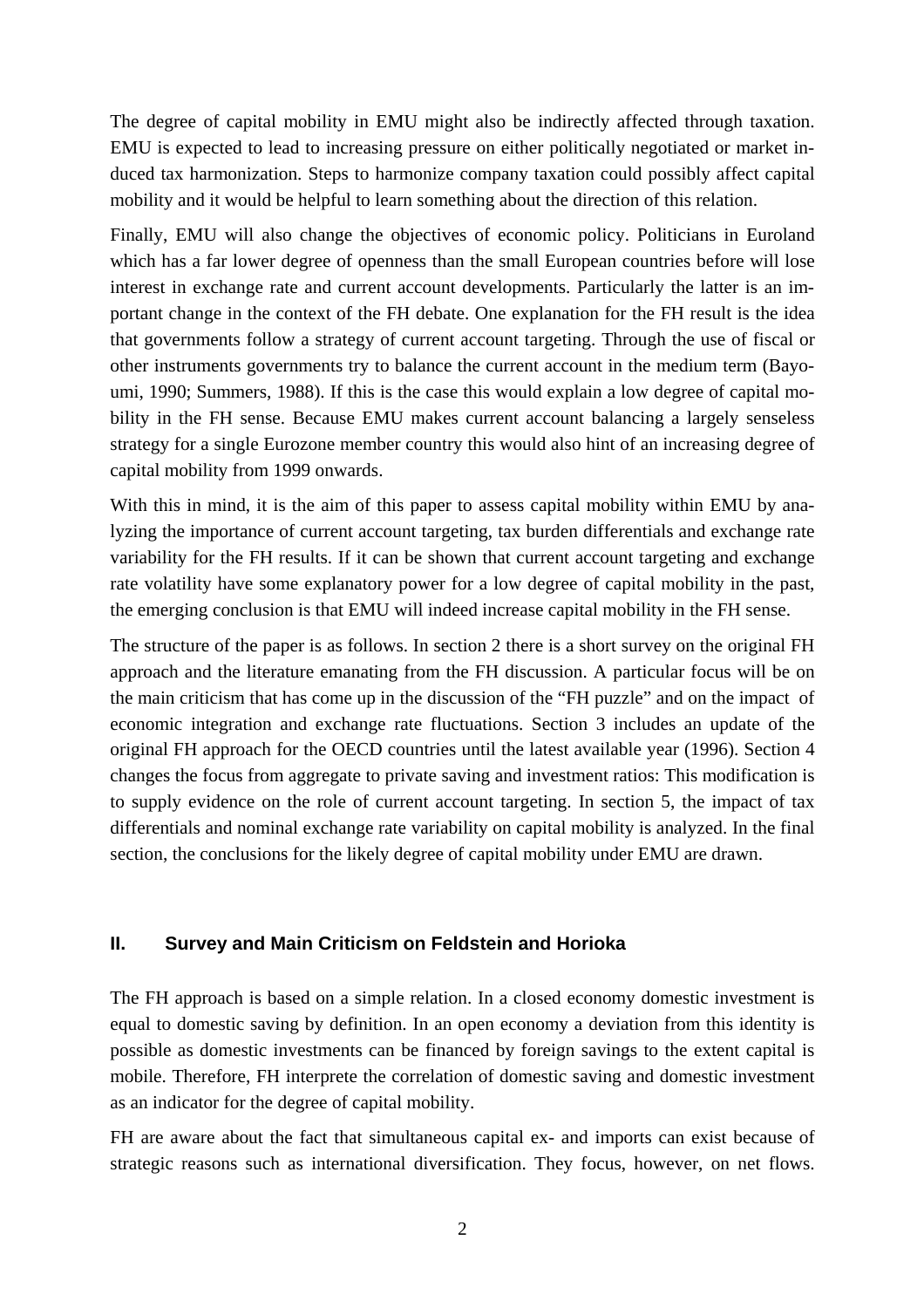The degree of capital mobility in EMU might also be indirectly affected through taxation. EMU is expected to lead to increasing pressure on either politically negotiated or market induced tax harmonization. Steps to harmonize company taxation could possibly affect capital mobility and it would be helpful to learn something about the direction of this relation.

Finally, EMU will also change the objectives of economic policy. Politicians in Euroland which has a far lower degree of openness than the small European countries before will lose interest in exchange rate and current account developments. Particularly the latter is an important change in the context of the FH debate. One explanation for the FH result is the idea that governments follow a strategy of current account targeting. Through the use of fiscal or other instruments governments try to balance the current account in the medium term (Bayoumi, 1990; Summers, 1988). If this is the case this would explain a low degree of capital mobility in the FH sense. Because EMU makes current account balancing a largely senseless strategy for a single Eurozone member country this would also hint of an increasing degree of capital mobility from 1999 onwards.

With this in mind, it is the aim of this paper to assess capital mobility within EMU by analyzing the importance of current account targeting, tax burden differentials and exchange rate variability for the FH results. If it can be shown that current account targeting and exchange rate volatility have some explanatory power for a low degree of capital mobility in the past, the emerging conclusion is that EMU will indeed increase capital mobility in the FH sense.

The structure of the paper is as follows. In section 2 there is a short survey on the original FH approach and the literature emanating from the FH discussion. A particular focus will be on the main criticism that has come up in the discussion of the "FH puzzle" and on the impact of economic integration and exchange rate fluctuations. Section 3 includes an update of the original FH approach for the OECD countries until the latest available year (1996). Section 4 changes the focus from aggregate to private saving and investment ratios: This modification is to supply evidence on the role of current account targeting. In section 5, the impact of tax differentials and nominal exchange rate variability on capital mobility is analyzed. In the final section, the conclusions for the likely degree of capital mobility under EMU are drawn.

#### **II. Survey and Main Criticism on Feldstein and Horioka**

The FH approach is based on a simple relation. In a closed economy domestic investment is equal to domestic saving by definition. In an open economy a deviation from this identity is possible as domestic investments can be financed by foreign savings to the extent capital is mobile. Therefore, FH interprete the correlation of domestic saving and domestic investment as an indicator for the degree of capital mobility.

FH are aware about the fact that simultaneous capital ex- and imports can exist because of strategic reasons such as international diversification. They focus, however, on net flows.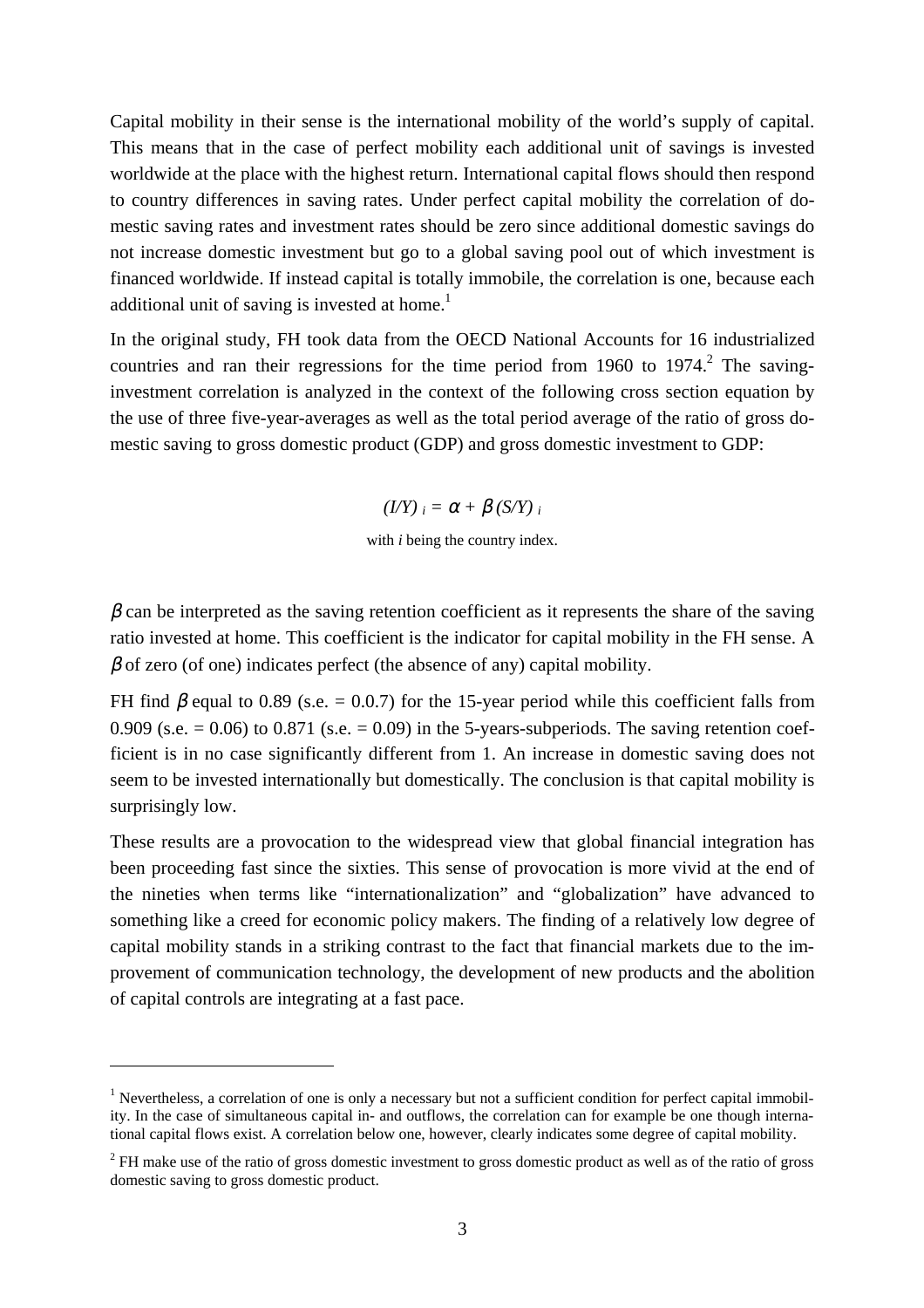Capital mobility in their sense is the international mobility of the world's supply of capital. This means that in the case of perfect mobility each additional unit of savings is invested worldwide at the place with the highest return. International capital flows should then respond to country differences in saving rates. Under perfect capital mobility the correlation of domestic saving rates and investment rates should be zero since additional domestic savings do not increase domestic investment but go to a global saving pool out of which investment is financed worldwide. If instead capital is totally immobile, the correlation is one, because each additional unit of saving is invested at home.<sup>1</sup>

In the original study, FH took data from the OECD National Accounts for 16 industrialized countries and ran their regressions for the time period from 1960 to 1974.<sup>2</sup> The savinginvestment correlation is analyzed in the context of the following cross section equation by the use of three five-year-averages as well as the total period average of the ratio of gross domestic saving to gross domestic product (GDP) and gross domestic investment to GDP:

 $(I/Y)$   $_i = \alpha + \beta(S/Y)$  *i* 

with *i* being the country index.

 $\beta$  can be interpreted as the saving retention coefficient as it represents the share of the saving ratio invested at home. This coefficient is the indicator for capital mobility in the FH sense. A  $\beta$  of zero (of one) indicates perfect (the absence of any) capital mobility.

FH find  $\beta$  equal to 0.89 (s.e. = 0.0.7) for the 15-year period while this coefficient falls from 0.909 (s.e.  $= 0.06$ ) to 0.871 (s.e.  $= 0.09$ ) in the 5-years-subperiods. The saving retention coefficient is in no case significantly different from 1. An increase in domestic saving does not seem to be invested internationally but domestically. The conclusion is that capital mobility is surprisingly low.

These results are a provocation to the widespread view that global financial integration has been proceeding fast since the sixties. This sense of provocation is more vivid at the end of the nineties when terms like "internationalization" and "globalization" have advanced to something like a creed for economic policy makers. The finding of a relatively low degree of capital mobility stands in a striking contrast to the fact that financial markets due to the improvement of communication technology, the development of new products and the abolition of capital controls are integrating at a fast pace.

<sup>&</sup>lt;sup>1</sup> Nevertheless, a correlation of one is only a necessary but not a sufficient condition for perfect capital immobility. In the case of simultaneous capital in- and outflows, the correlation can for example be one though international capital flows exist. A correlation below one, however, clearly indicates some degree of capital mobility.

 $2$  FH make use of the ratio of gross domestic investment to gross domestic product as well as of the ratio of gross domestic saving to gross domestic product.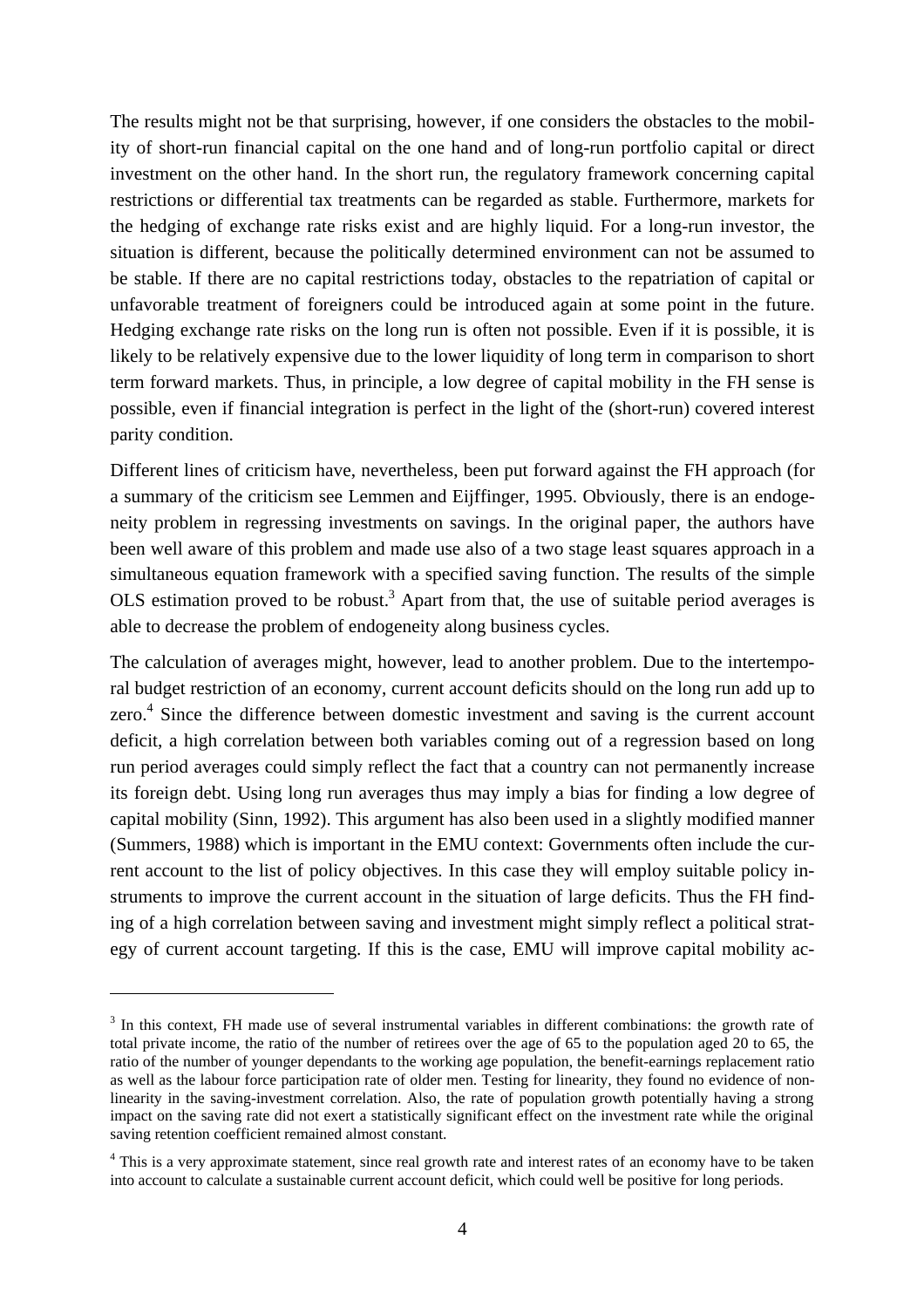The results might not be that surprising, however, if one considers the obstacles to the mobility of short-run financial capital on the one hand and of long-run portfolio capital or direct investment on the other hand. In the short run, the regulatory framework concerning capital restrictions or differential tax treatments can be regarded as stable. Furthermore, markets for the hedging of exchange rate risks exist and are highly liquid. For a long-run investor, the situation is different, because the politically determined environment can not be assumed to be stable. If there are no capital restrictions today, obstacles to the repatriation of capital or unfavorable treatment of foreigners could be introduced again at some point in the future. Hedging exchange rate risks on the long run is often not possible. Even if it is possible, it is likely to be relatively expensive due to the lower liquidity of long term in comparison to short term forward markets. Thus, in principle, a low degree of capital mobility in the FH sense is possible, even if financial integration is perfect in the light of the (short-run) covered interest parity condition.

Different lines of criticism have, nevertheless, been put forward against the FH approach (for a summary of the criticism see Lemmen and Eijffinger, 1995. Obviously, there is an endogeneity problem in regressing investments on savings. In the original paper, the authors have been well aware of this problem and made use also of a two stage least squares approach in a simultaneous equation framework with a specified saving function. The results of the simple OLS estimation proved to be robust.<sup>3</sup> Apart from that, the use of suitable period averages is able to decrease the problem of endogeneity along business cycles.

The calculation of averages might, however, lead to another problem. Due to the intertemporal budget restriction of an economy, current account deficits should on the long run add up to zero.<sup>4</sup> Since the difference between domestic investment and saving is the current account deficit, a high correlation between both variables coming out of a regression based on long run period averages could simply reflect the fact that a country can not permanently increase its foreign debt. Using long run averages thus may imply a bias for finding a low degree of capital mobility (Sinn, 1992). This argument has also been used in a slightly modified manner (Summers, 1988) which is important in the EMU context: Governments often include the current account to the list of policy objectives. In this case they will employ suitable policy instruments to improve the current account in the situation of large deficits. Thus the FH finding of a high correlation between saving and investment might simply reflect a political strategy of current account targeting. If this is the case, EMU will improve capital mobility ac-

<sup>&</sup>lt;sup>3</sup> In this context, FH made use of several instrumental variables in different combinations: the growth rate of total private income, the ratio of the number of retirees over the age of 65 to the population aged 20 to 65, the ratio of the number of younger dependants to the working age population, the benefit-earnings replacement ratio as well as the labour force participation rate of older men. Testing for linearity, they found no evidence of nonlinearity in the saving-investment correlation. Also, the rate of population growth potentially having a strong impact on the saving rate did not exert a statistically significant effect on the investment rate while the original saving retention coefficient remained almost constant.

<sup>&</sup>lt;sup>4</sup> This is a very approximate statement, since real growth rate and interest rates of an economy have to be taken into account to calculate a sustainable current account deficit, which could well be positive for long periods.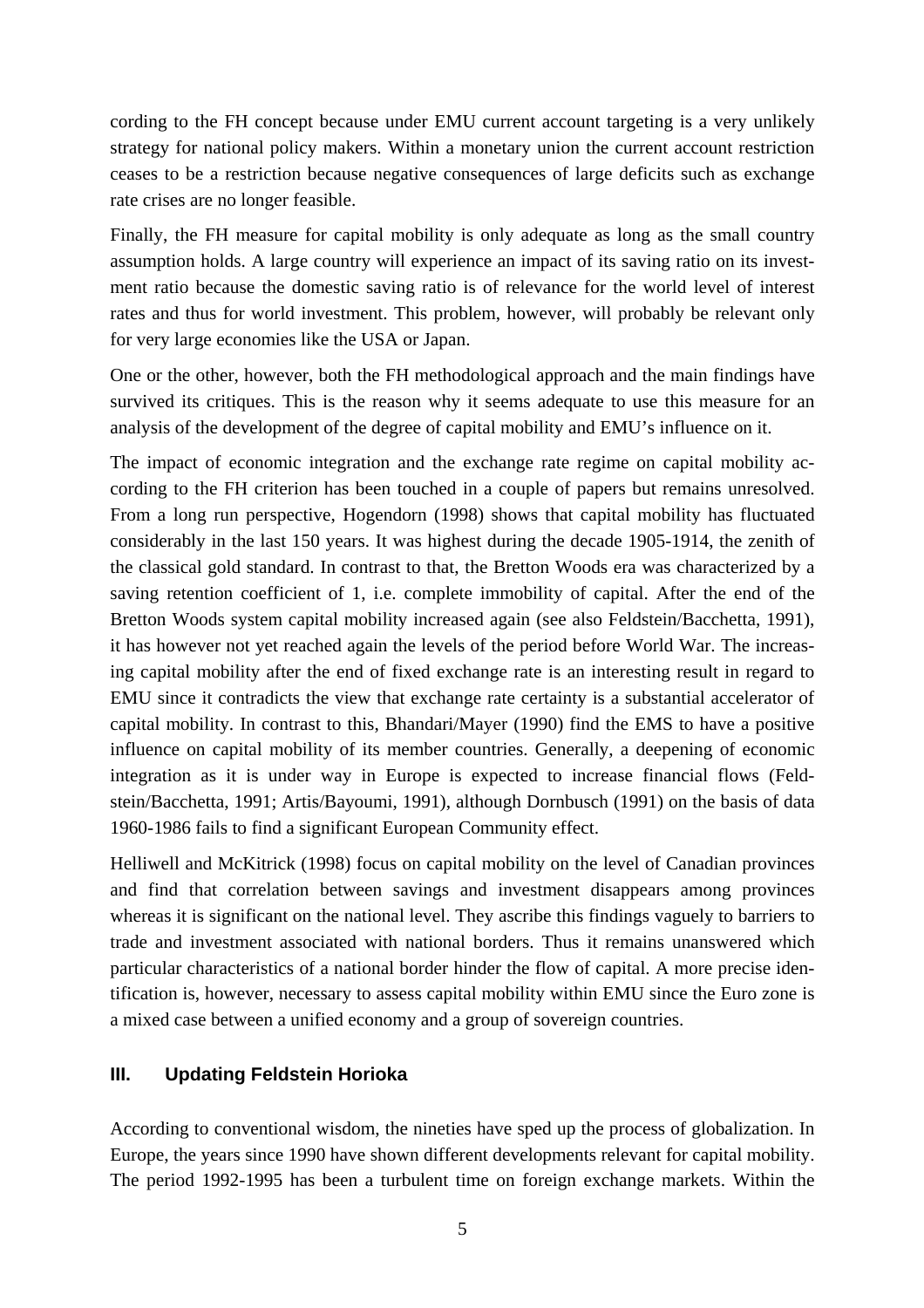cording to the FH concept because under EMU current account targeting is a very unlikely strategy for national policy makers. Within a monetary union the current account restriction ceases to be a restriction because negative consequences of large deficits such as exchange rate crises are no longer feasible.

Finally, the FH measure for capital mobility is only adequate as long as the small country assumption holds. A large country will experience an impact of its saving ratio on its investment ratio because the domestic saving ratio is of relevance for the world level of interest rates and thus for world investment. This problem, however, will probably be relevant only for very large economies like the USA or Japan.

One or the other, however, both the FH methodological approach and the main findings have survived its critiques. This is the reason why it seems adequate to use this measure for an analysis of the development of the degree of capital mobility and EMU's influence on it.

The impact of economic integration and the exchange rate regime on capital mobility according to the FH criterion has been touched in a couple of papers but remains unresolved. From a long run perspective, Hogendorn (1998) shows that capital mobility has fluctuated considerably in the last 150 years. It was highest during the decade 1905-1914, the zenith of the classical gold standard. In contrast to that, the Bretton Woods era was characterized by a saving retention coefficient of 1, i.e. complete immobility of capital. After the end of the Bretton Woods system capital mobility increased again (see also Feldstein/Bacchetta, 1991), it has however not yet reached again the levels of the period before World War. The increasing capital mobility after the end of fixed exchange rate is an interesting result in regard to EMU since it contradicts the view that exchange rate certainty is a substantial accelerator of capital mobility. In contrast to this, Bhandari/Mayer (1990) find the EMS to have a positive influence on capital mobility of its member countries. Generally, a deepening of economic integration as it is under way in Europe is expected to increase financial flows (Feldstein/Bacchetta, 1991; Artis/Bayoumi, 1991), although Dornbusch (1991) on the basis of data 1960-1986 fails to find a significant European Community effect.

Helliwell and McKitrick (1998) focus on capital mobility on the level of Canadian provinces and find that correlation between savings and investment disappears among provinces whereas it is significant on the national level. They ascribe this findings vaguely to barriers to trade and investment associated with national borders. Thus it remains unanswered which particular characteristics of a national border hinder the flow of capital. A more precise identification is, however, necessary to assess capital mobility within EMU since the Euro zone is a mixed case between a unified economy and a group of sovereign countries.

#### **III. Updating Feldstein Horioka**

According to conventional wisdom, the nineties have sped up the process of globalization. In Europe, the years since 1990 have shown different developments relevant for capital mobility. The period 1992-1995 has been a turbulent time on foreign exchange markets. Within the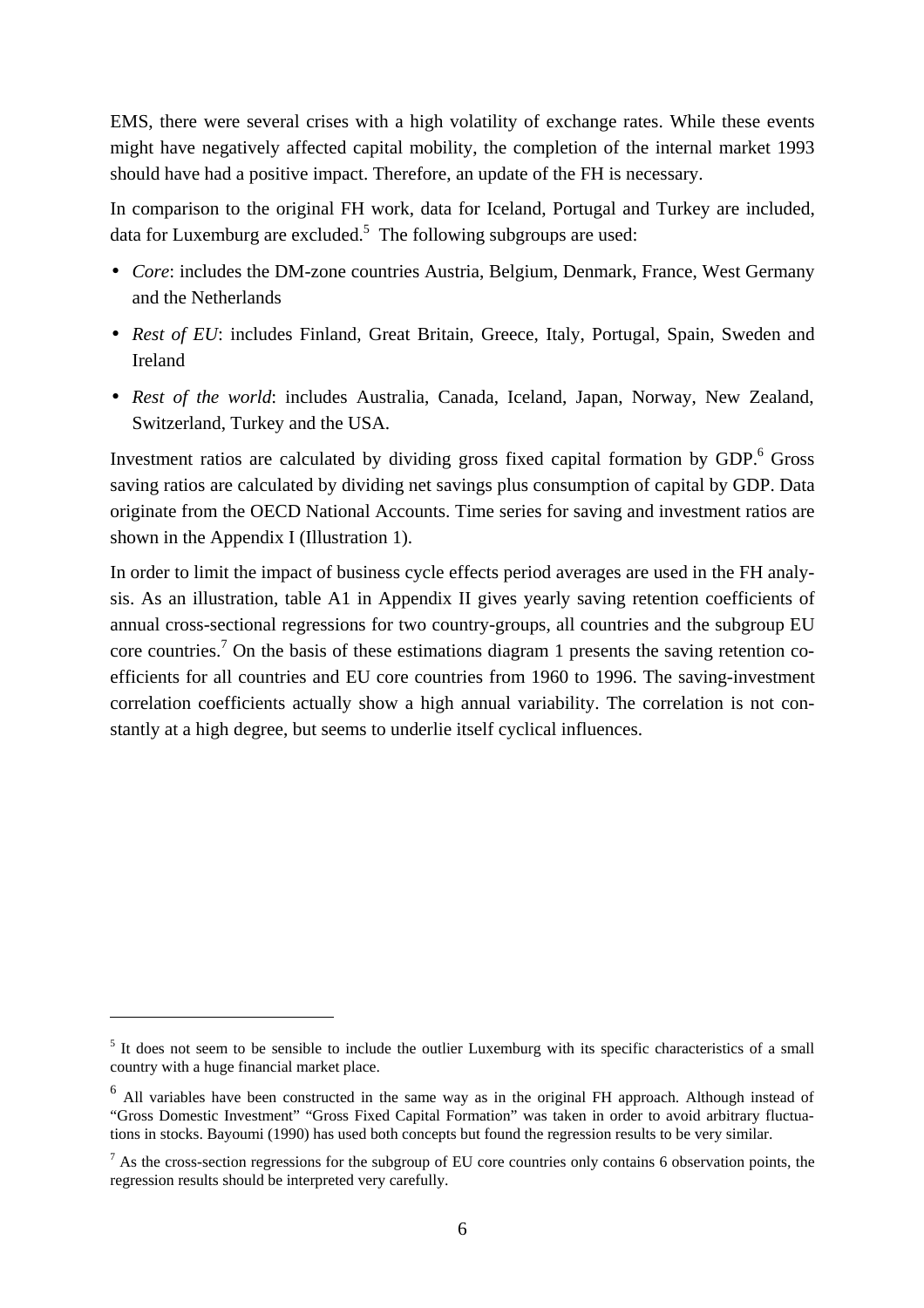EMS, there were several crises with a high volatility of exchange rates. While these events might have negatively affected capital mobility, the completion of the internal market 1993 should have had a positive impact. Therefore, an update of the FH is necessary.

In comparison to the original FH work, data for Iceland, Portugal and Turkey are included, data for Luxemburg are excluded.<sup>5</sup> The following subgroups are used:

- *Core*: includes the DM-zone countries Austria, Belgium, Denmark, France, West Germany and the Netherlands
- *Rest of EU*: includes Finland, Great Britain, Greece, Italy, Portugal, Spain, Sweden and Ireland
- *Rest of the world*: includes Australia, Canada, Iceland, Japan, Norway, New Zealand, Switzerland, Turkey and the USA.

Investment ratios are calculated by dividing gross fixed capital formation by GDP.<sup>6</sup> Gross saving ratios are calculated by dividing net savings plus consumption of capital by GDP. Data originate from the OECD National Accounts. Time series for saving and investment ratios are shown in the Appendix I (Illustration 1).

In order to limit the impact of business cycle effects period averages are used in the FH analysis. As an illustration, table A1 in Appendix II gives yearly saving retention coefficients of annual cross-sectional regressions for two country-groups, all countries and the subgroup EU core countries.<sup>7</sup> On the basis of these estimations diagram 1 presents the saving retention coefficients for all countries and EU core countries from 1960 to 1996. The saving-investment correlation coefficients actually show a high annual variability. The correlation is not constantly at a high degree, but seems to underlie itself cyclical influences.

<sup>&</sup>lt;sup>5</sup> It does not seem to be sensible to include the outlier Luxemburg with its specific characteristics of a small country with a huge financial market place.

<sup>&</sup>lt;sup>6</sup> All variables have been constructed in the same way as in the original FH approach. Although instead of "Gross Domestic Investment" "Gross Fixed Capital Formation" was taken in order to avoid arbitrary fluctuations in stocks. Bayoumi (1990) has used both concepts but found the regression results to be very similar.

 $<sup>7</sup>$  As the cross-section regressions for the subgroup of EU core countries only contains 6 observation points, the</sup> regression results should be interpreted very carefully.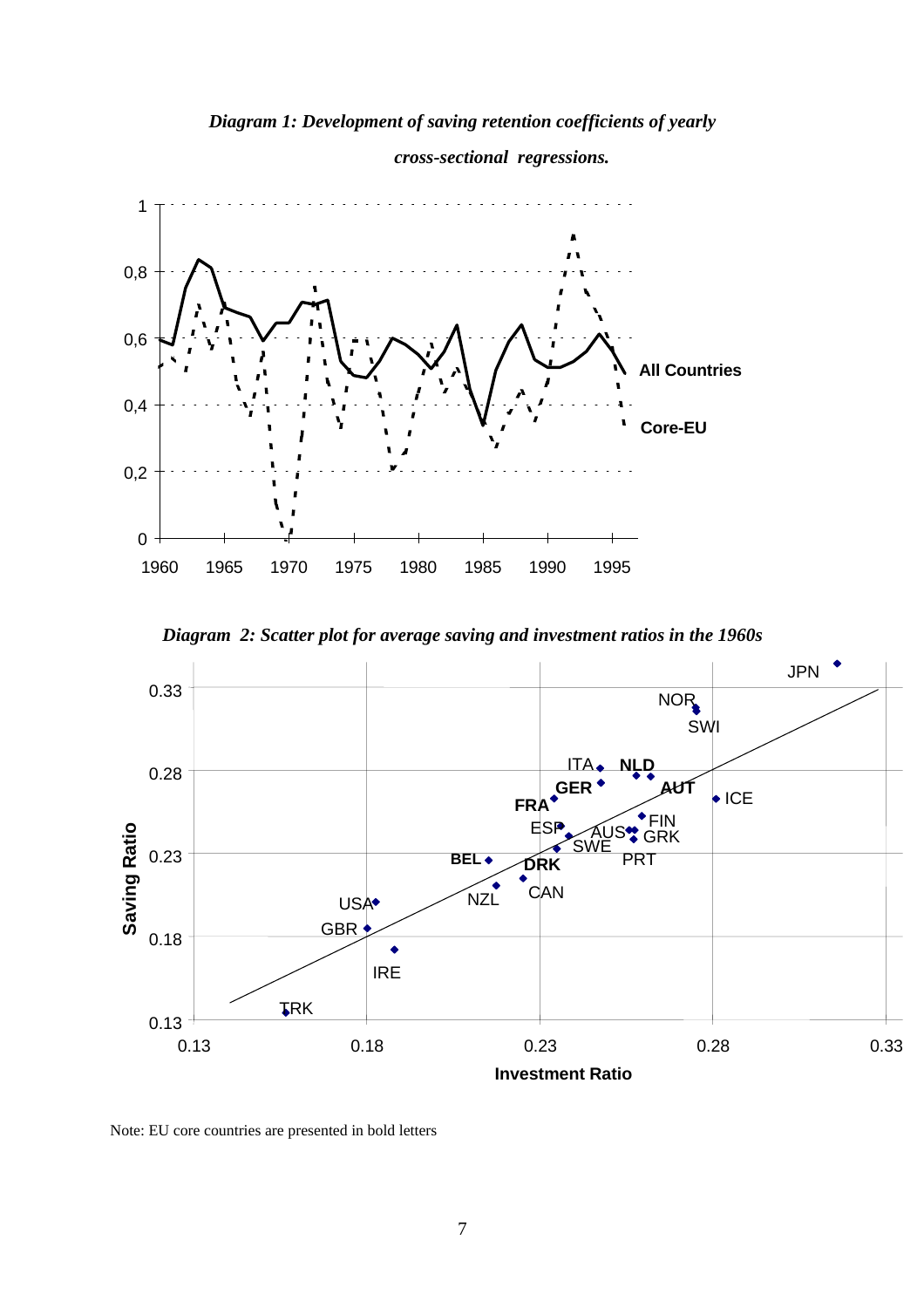*Diagram 1: Development of saving retention coefficients of yearly*



 *cross-sectional regressions.*

*Diagram 2: Scatter plot for average saving and investment ratios in the 1960s*



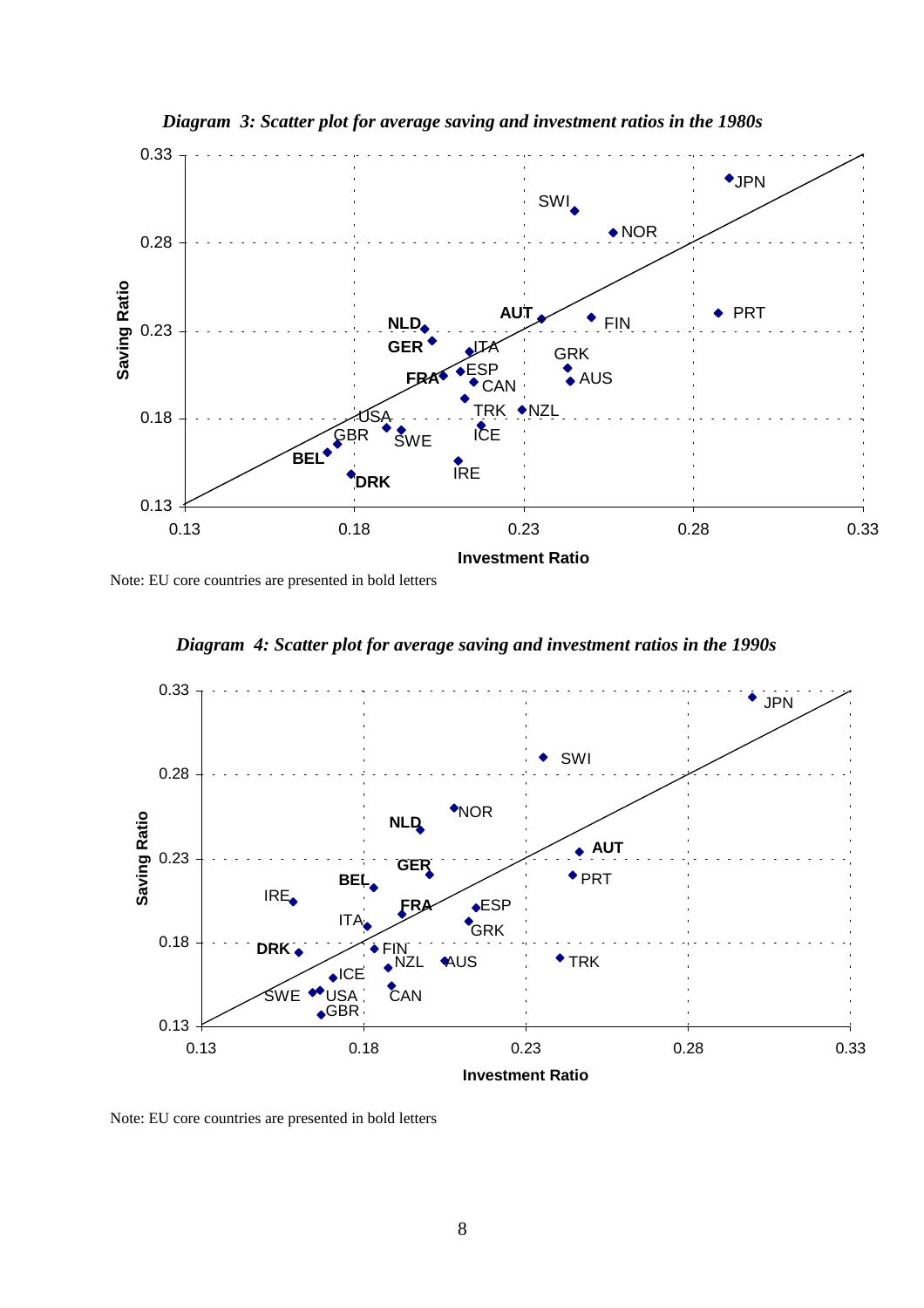

*Diagram 3: Scatter plot for average saving and investment ratios in the 1980s*

Note: EU core countries are presented in bold letters



*Diagram 4: Scatter plot for average saving and investment ratios in the 1990s*

Note: EU core countries are presented in bold letters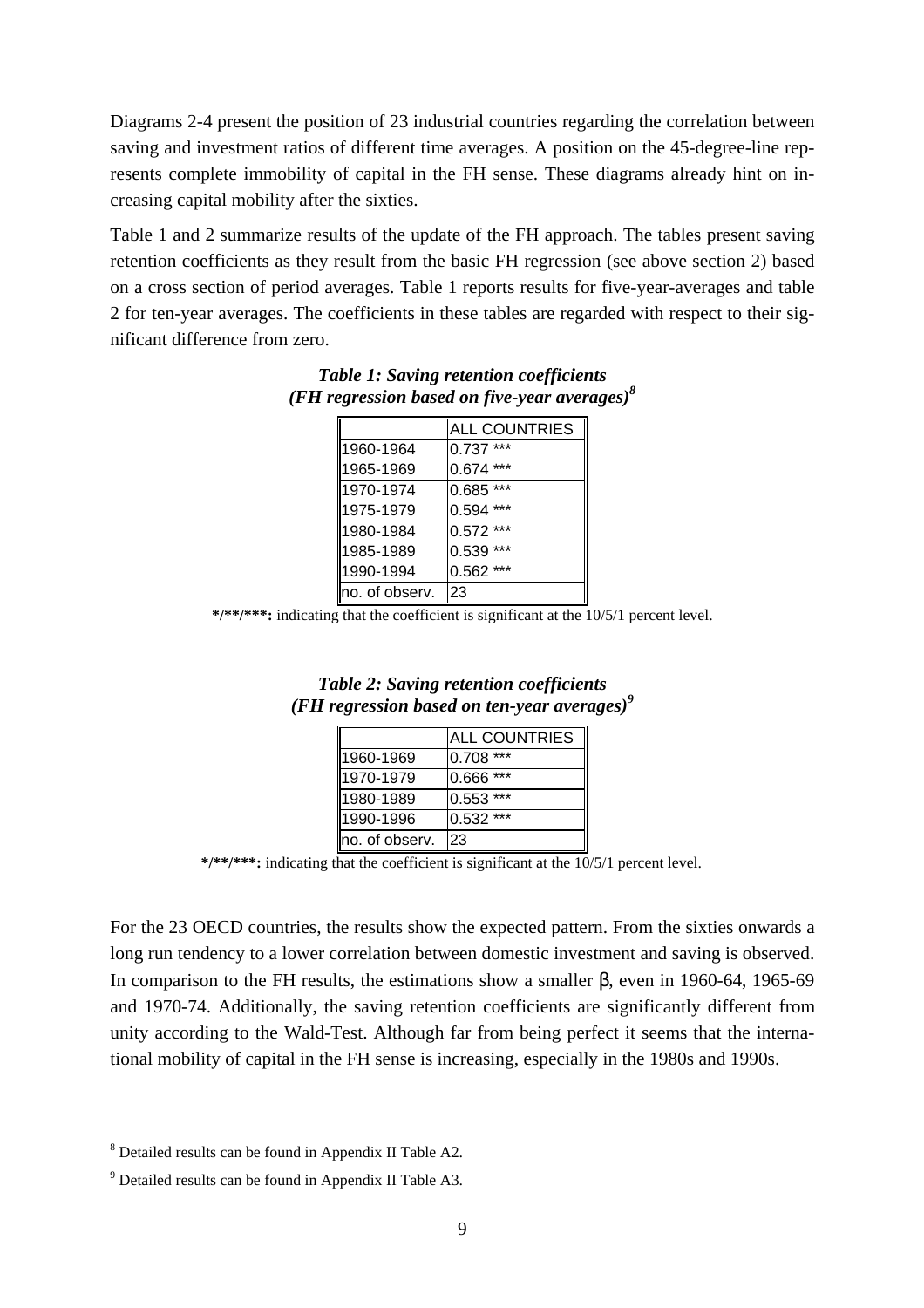Diagrams 2-4 present the position of 23 industrial countries regarding the correlation between saving and investment ratios of different time averages. A position on the 45-degree-line represents complete immobility of capital in the FH sense. These diagrams already hint on increasing capital mobility after the sixties.

Table 1 and 2 summarize results of the update of the FH approach. The tables present saving retention coefficients as they result from the basic FH regression (see above section 2) based on a cross section of period averages. Table 1 reports results for five-year-averages and table 2 for ten-year averages. The coefficients in these tables are regarded with respect to their significant difference from zero.

|                | <b>ALL COUNTRIES</b> |
|----------------|----------------------|
| 1960-1964      | $0.737***$           |
| 1965-1969      | $0.674***$           |
| 1970-1974      | $0.685$ ***          |
| 1975-1979      | $0.594$ ***          |
| 1980-1984      | $0.572$ ***          |
| 1985-1989      | $0.539***$           |
| 1990-1994      | $0.562$ ***          |
| no. of observ. | 23                   |

*Table 1: Saving retention coefficients (FH regression based on five-year averages)8*

**\*/\*\*/\*\*\*:** indicating that the coefficient is significant at the 10/5/1 percent level.

| <b>Table 2: Saving retention coefficients</b>   |  |
|-------------------------------------------------|--|
| (FH regression based on ten-year averages) $^9$ |  |

|                | <b>ALL COUNTRIES</b> |
|----------------|----------------------|
| 1960-1969      | 0.708 ***            |
| 1970-1979      | 0.666 ***            |
| 1980-1989      | $0.553$ ***          |
| 1990-1996      | 0.532 ***            |
| no. of observ. | 23                   |

**\*/\*\*/\*\*\*:** indicating that the coefficient is significant at the 10/5/1 percent level.

For the 23 OECD countries, the results show the expected pattern. From the sixties onwards a long run tendency to a lower correlation between domestic investment and saving is observed. In comparison to the FH results, the estimations show a smaller β, even in 1960-64, 1965-69 and 1970-74. Additionally, the saving retention coefficients are significantly different from unity according to the Wald-Test. Although far from being perfect it seems that the international mobility of capital in the FH sense is increasing, especially in the 1980s and 1990s.

<sup>&</sup>lt;sup>8</sup> Detailed results can be found in Appendix II Table A2.

<sup>&</sup>lt;sup>9</sup> Detailed results can be found in Appendix II Table A3.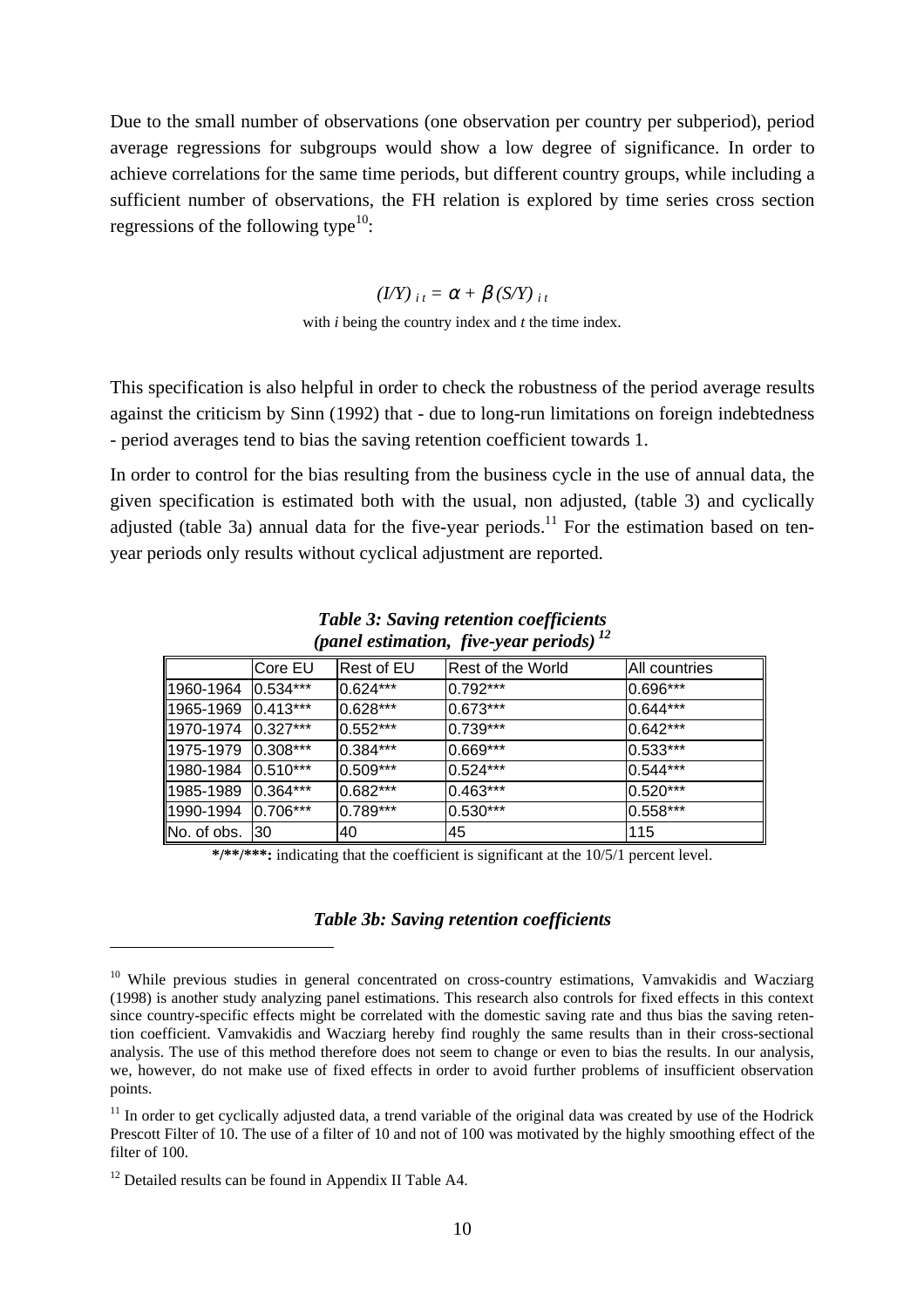Due to the small number of observations (one observation per country per subperiod), period average regressions for subgroups would show a low degree of significance. In order to achieve correlations for the same time periods, but different country groups, while including a sufficient number of observations, the FH relation is explored by time series cross section regressions of the following type<sup>10</sup>:

#### $(I/Y)_{i,t} = \alpha + \beta(S/Y)_{i,t}$

with *i* being the country index and *t* the time index.

This specification is also helpful in order to check the robustness of the period average results against the criticism by Sinn (1992) that - due to long-run limitations on foreign indebtedness - period averages tend to bias the saving retention coefficient towards 1.

In order to control for the bias resulting from the business cycle in the use of annual data, the given specification is estimated both with the usual, non adjusted, (table 3) and cyclically adjusted (table 3a) annual data for the five-year periods.<sup>11</sup> For the estimation based on tenyear periods only results without cyclical adjustment are reported.

|                    | Core EU    | Rest of EU   | Rest of the World | IAII countries |
|--------------------|------------|--------------|-------------------|----------------|
| 1960-1964          | $0.534***$ | $0.624***$   | $0.792***$        | $0.696***$     |
| 1965-1969          | $0.413***$ | 0.628***     | $ 0.673*** $      | $0.644***$     |
| 1970-1974 0.327*** |            | $0.552***$   | $0.739***$        | $10.642***$    |
| 1975-1979          | $0.308***$ | $0.384***$   | $0.669***$        | $ 0.533***$    |
| 1980-1984 0.510*** |            | $ 0.509*** $ | $ 0.524***$       | $0.544***$     |
| 1985-1989          | $0.364***$ | $0.682***$   | $0.463***$        | $0.520***$     |
| 1990-1994 0.706*** |            | 0.789***     | $0.530***$        | 0.558***       |
| No. of obs.        | 130        | 40           | 45                | 115            |

*Table 3: Saving retention coefficients (panel estimation, five-year periods) 12*

**\*/\*\*/\*\*\*:** indicating that the coefficient is significant at the 10/5/1 percent level.

#### *Table 3b: Saving retention coefficients*

<sup>&</sup>lt;sup>10</sup> While previous studies in general concentrated on cross-country estimations, Vamvakidis and Wacziarg (1998) is another study analyzing panel estimations. This research also controls for fixed effects in this context since country-specific effects might be correlated with the domestic saving rate and thus bias the saving retention coefficient. Vamvakidis and Wacziarg hereby find roughly the same results than in their cross-sectional analysis. The use of this method therefore does not seem to change or even to bias the results. In our analysis, we, however, do not make use of fixed effects in order to avoid further problems of insufficient observation points.

 $11$  In order to get cyclically adjusted data, a trend variable of the original data was created by use of the Hodrick Prescott Filter of 10. The use of a filter of 10 and not of 100 was motivated by the highly smoothing effect of the filter of 100.

<sup>&</sup>lt;sup>12</sup> Detailed results can be found in Appendix II Table A4.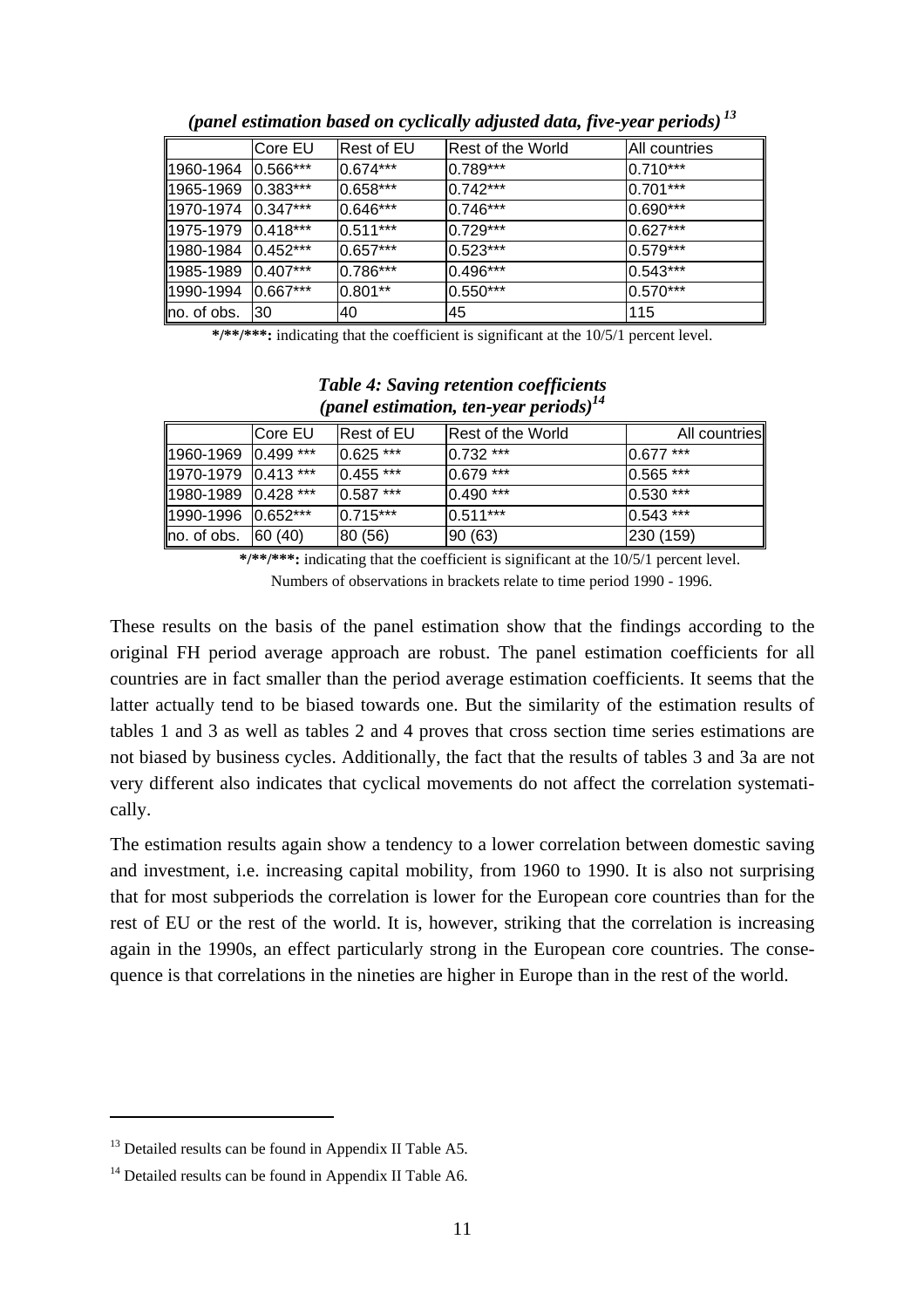|                      | lCore EU    | Rest of EU   | Rest of the World | IAII countries |
|----------------------|-------------|--------------|-------------------|----------------|
| 1960-1964            | $0.566***$  | $ 0.674*** $ | 0.789***          | $ 0.710***$    |
| 1965-1969            | $0.383***$  | $0.658***$   | $0.742***$        | $ 0.701*** $   |
| 1970-1974   0.347*** |             | 0.646***     | $0.746***$        | $ 0.690*** $   |
| 1975-1979            | $ 0.418***$ | $0.511***$   | 0.729***          | $0.627***$     |
| 1980-1984            | $0.452***$  | $10.657***$  | $0.523***$        | $0.579***$     |
| 1985-1989            | $0.407***$  | 0.786***     | 0.496***          | $0.543***$     |
| 1990-1994            | $0.667***$  | $0.801**$    | $0.550***$        | $0.570***$     |
| lno. of obs.         | 130         | 40           | 145               | 115            |

*(panel estimation based on cyclically adjusted data, five-year periods) 13*

**\*/\*\*/\*\*\*:** indicating that the coefficient is significant at the 10/5/1 percent level.

|                                 | ICore EU | <b>Rest of EU</b> | <b>Rest of the World</b> | All countries |
|---------------------------------|----------|-------------------|--------------------------|---------------|
| $\parallel$ 1960-1969 0.499 *** |          | $0.625$ ***       | $10.732***$              | $0.677$ ***   |
| $\parallel$ 1970-1979 0.413 *** |          | $0.455$ ***       | $0.679***$               | $ 0.565***$   |
| 1980-1989   0.428 ***           |          | $0.587***$        | $0.490***$               | $0.530***$    |
| 1990-1996   0.652***            |          | $0.715***$        | $10.511***$              | $ 0.543***$   |
| $\ $ no. of obs.                | 60(40)   | 80 (56)           | 90(63)                   | 230 (159)     |

#### *Table 4: Saving retention coefficients (panel estimation, ten-year periods)14*

**\*/\*\*/\*\*\*:** indicating that the coefficient is significant at the 10/5/1 percent level. Numbers of observations in brackets relate to time period 1990 - 1996.

These results on the basis of the panel estimation show that the findings according to the original FH period average approach are robust. The panel estimation coefficients for all countries are in fact smaller than the period average estimation coefficients. It seems that the latter actually tend to be biased towards one. But the similarity of the estimation results of tables 1 and 3 as well as tables 2 and 4 proves that cross section time series estimations are not biased by business cycles. Additionally, the fact that the results of tables 3 and 3a are not very different also indicates that cyclical movements do not affect the correlation systematically.

The estimation results again show a tendency to a lower correlation between domestic saving and investment, i.e. increasing capital mobility, from 1960 to 1990. It is also not surprising that for most subperiods the correlation is lower for the European core countries than for the rest of EU or the rest of the world. It is, however, striking that the correlation is increasing again in the 1990s, an effect particularly strong in the European core countries. The consequence is that correlations in the nineties are higher in Europe than in the rest of the world.

<sup>&</sup>lt;sup>13</sup> Detailed results can be found in Appendix II Table A5.

 $14$  Detailed results can be found in Appendix II Table A6.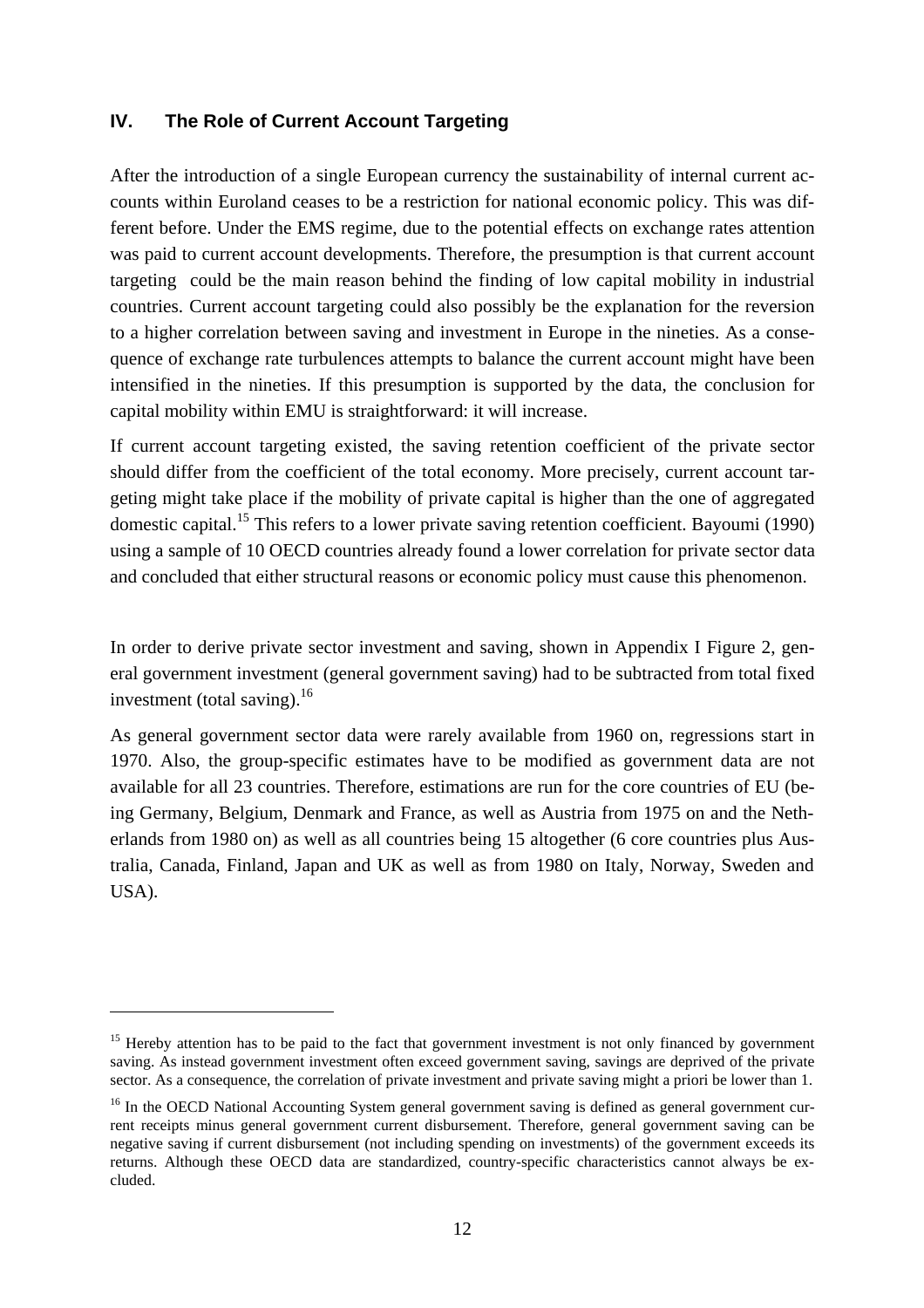#### **IV. The Role of Current Account Targeting**

After the introduction of a single European currency the sustainability of internal current accounts within Euroland ceases to be a restriction for national economic policy. This was different before. Under the EMS regime, due to the potential effects on exchange rates attention was paid to current account developments. Therefore, the presumption is that current account targeting could be the main reason behind the finding of low capital mobility in industrial countries. Current account targeting could also possibly be the explanation for the reversion to a higher correlation between saving and investment in Europe in the nineties. As a consequence of exchange rate turbulences attempts to balance the current account might have been intensified in the nineties. If this presumption is supported by the data, the conclusion for capital mobility within EMU is straightforward: it will increase.

If current account targeting existed, the saving retention coefficient of the private sector should differ from the coefficient of the total economy. More precisely, current account targeting might take place if the mobility of private capital is higher than the one of aggregated domestic capital.<sup>15</sup> This refers to a lower private saving retention coefficient. Bayoumi (1990) using a sample of 10 OECD countries already found a lower correlation for private sector data and concluded that either structural reasons or economic policy must cause this phenomenon.

In order to derive private sector investment and saving, shown in Appendix I Figure 2, general government investment (general government saving) had to be subtracted from total fixed investment (total saving).<sup>16</sup>

As general government sector data were rarely available from 1960 on, regressions start in 1970. Also, the group-specific estimates have to be modified as government data are not available for all 23 countries. Therefore, estimations are run for the core countries of EU (being Germany, Belgium, Denmark and France, as well as Austria from 1975 on and the Netherlands from 1980 on) as well as all countries being 15 altogether (6 core countries plus Australia, Canada, Finland, Japan and UK as well as from 1980 on Italy, Norway, Sweden and USA).

<sup>&</sup>lt;sup>15</sup> Hereby attention has to be paid to the fact that government investment is not only financed by government saving. As instead government investment often exceed government saving, savings are deprived of the private sector. As a consequence, the correlation of private investment and private saving might a priori be lower than 1.

<sup>&</sup>lt;sup>16</sup> In the OECD National Accounting System general government saving is defined as general government current receipts minus general government current disbursement. Therefore, general government saving can be negative saving if current disbursement (not including spending on investments) of the government exceeds its returns. Although these OECD data are standardized, country-specific characteristics cannot always be excluded.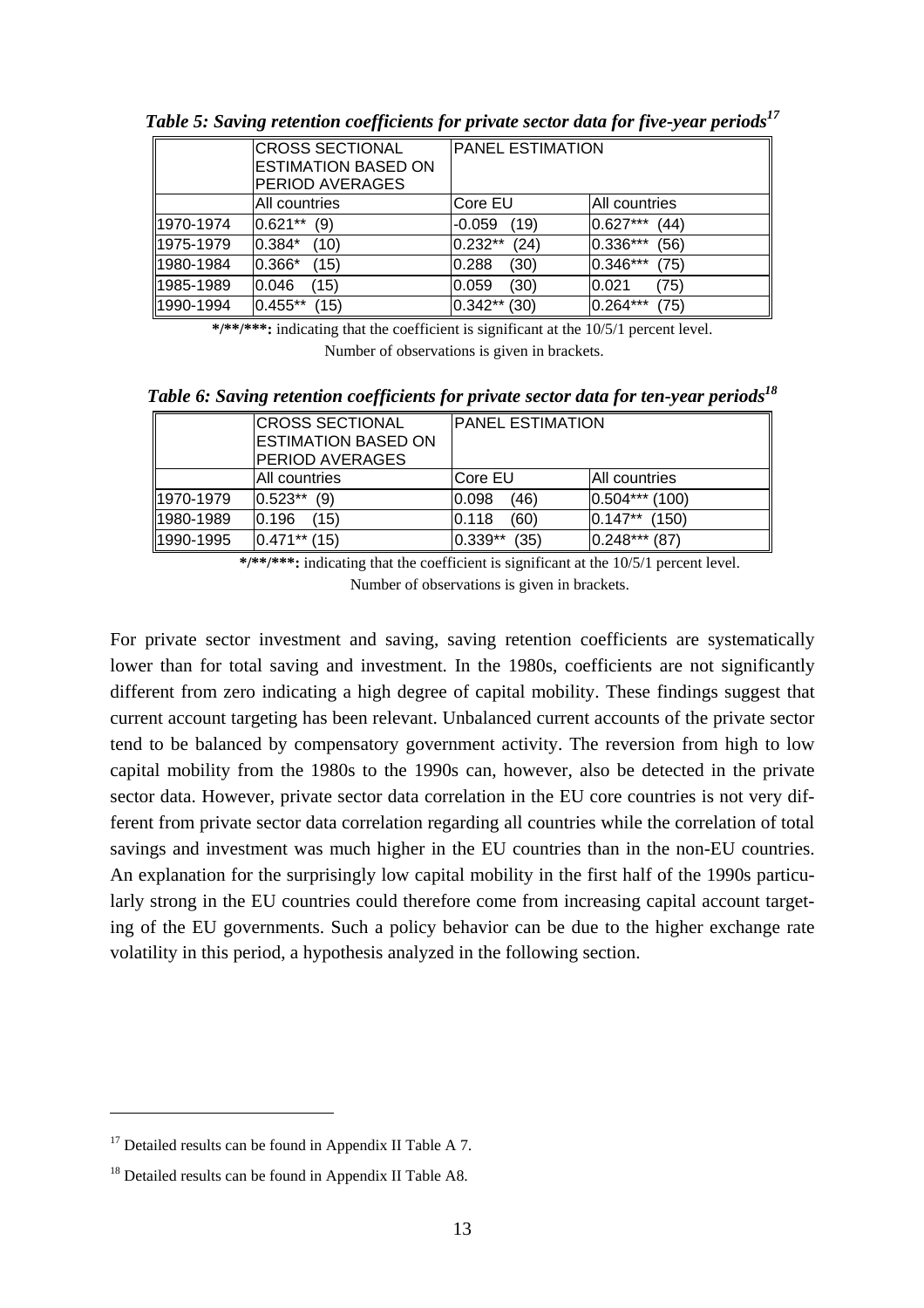|           | <b>CROSS SECTIONAL</b><br>ESTIMATION BASED ON<br>PERIOD AVERAGES | <b>PANEL ESTIMATION</b> |                  |
|-----------|------------------------------------------------------------------|-------------------------|------------------|
|           | All countries                                                    | Core EU                 | All countries    |
| 1970-1974 | $0.621**$                                                        | (19)                    | $0.627***$       |
|           | (9)                                                              | $-0.059$                | (44)             |
| 1975-1979 | 0.384*                                                           | $0.232**$               | 0.336***         |
|           | (10)                                                             | (24)                    | (56)             |
| 1980-1984 | $0.366*$                                                         | (30)                    | 0.346***         |
|           | (15)                                                             | 0.288                   | (75)             |
| 1985-1989 | (15)                                                             | (30)                    | (75)             |
|           | 0.046                                                            | 0.059                   | 0.021            |
| 1990-1994 | $0.455**$<br>(15)                                                | $0.342**$ (30)          | 0.264***<br>(75) |

*Table 5: Saving retention coefficients for private sector data for five-year periods*<sup>17</sup>

**\*/\*\*/\*\*\*:** indicating that the coefficient is significant at the 10/5/1 percent level. Number of observations is given in brackets.

*Table 6: Saving retention coefficients for private sector data for ten-vear periods*<sup>18</sup>

|           | <b>CROSS SECTIONAL</b><br><b>ESTIMATION BASED ON</b><br><b>PERIOD AVERAGES</b> | <b>PANEL ESTIMATION</b> |                     |
|-----------|--------------------------------------------------------------------------------|-------------------------|---------------------|
|           | All countries                                                                  | Core EU                 | IAII countries      |
| 1970-1979 | $0.523**$<br>(9)                                                               | (46)<br>0.098           | $0.504***$<br>(100) |
| 1980-1989 | 0.196<br>(15)                                                                  | (60)<br>0.118           | $0.147**$<br>(150)  |
| 1990-1995 | $ 0.471*** 15\rangle$                                                          | $0.339**$<br>(35)       | $0.248***$<br>(87)  |

**\*/\*\*/\*\*\*:** indicating that the coefficient is significant at the 10/5/1 percent level. Number of observations is given in brackets.

For private sector investment and saving, saving retention coefficients are systematically lower than for total saving and investment. In the 1980s, coefficients are not significantly different from zero indicating a high degree of capital mobility. These findings suggest that current account targeting has been relevant. Unbalanced current accounts of the private sector tend to be balanced by compensatory government activity. The reversion from high to low capital mobility from the 1980s to the 1990s can, however, also be detected in the private sector data. However, private sector data correlation in the EU core countries is not very different from private sector data correlation regarding all countries while the correlation of total savings and investment was much higher in the EU countries than in the non-EU countries. An explanation for the surprisingly low capital mobility in the first half of the 1990s particularly strong in the EU countries could therefore come from increasing capital account targeting of the EU governments. Such a policy behavior can be due to the higher exchange rate volatility in this period, a hypothesis analyzed in the following section.

 $17$  Detailed results can be found in Appendix II Table A 7.

<sup>&</sup>lt;sup>18</sup> Detailed results can be found in Appendix II Table A8.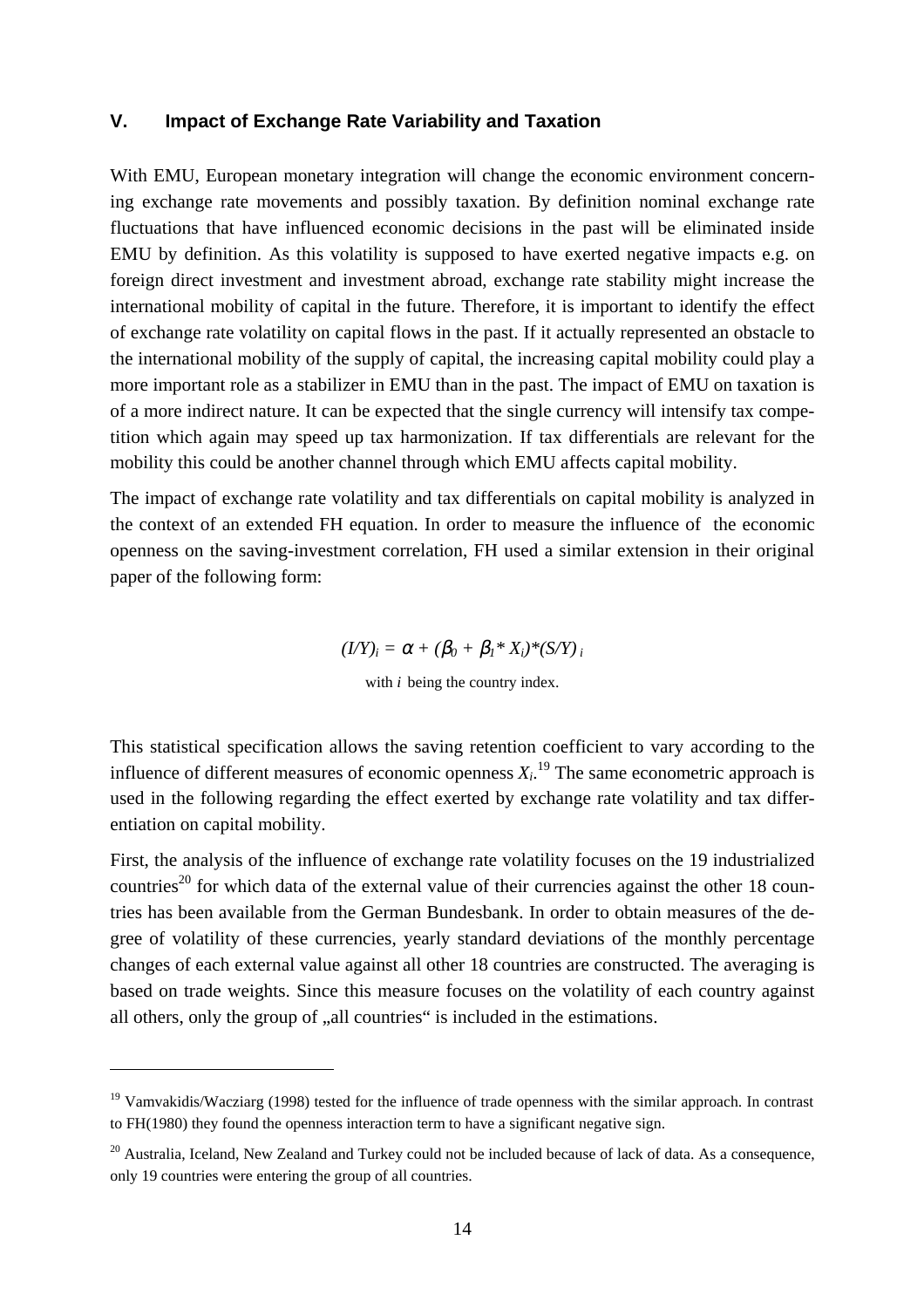#### **V. Impact of Exchange Rate Variability and Taxation**

With EMU, European monetary integration will change the economic environment concerning exchange rate movements and possibly taxation. By definition nominal exchange rate fluctuations that have influenced economic decisions in the past will be eliminated inside EMU by definition. As this volatility is supposed to have exerted negative impacts e.g. on foreign direct investment and investment abroad, exchange rate stability might increase the international mobility of capital in the future. Therefore, it is important to identify the effect of exchange rate volatility on capital flows in the past. If it actually represented an obstacle to the international mobility of the supply of capital, the increasing capital mobility could play a more important role as a stabilizer in EMU than in the past. The impact of EMU on taxation is of a more indirect nature. It can be expected that the single currency will intensify tax competition which again may speed up tax harmonization. If tax differentials are relevant for the mobility this could be another channel through which EMU affects capital mobility.

The impact of exchange rate volatility and tax differentials on capital mobility is analyzed in the context of an extended FH equation. In order to measure the influence of the economic openness on the saving-investment correlation, FH used a similar extension in their original paper of the following form:

> $(I/Y)_i = \alpha + (\beta_0 + \beta_1 * X_i) * (S/Y)_i$ with *i* being the country index.

This statistical specification allows the saving retention coefficient to vary according to the influence of different measures of economic openness  $X_i$ .<sup>19</sup> The same econometric approach is used in the following regarding the effect exerted by exchange rate volatility and tax differentiation on capital mobility.

First, the analysis of the influence of exchange rate volatility focuses on the 19 industrialized countries<sup>20</sup> for which data of the external value of their currencies against the other 18 countries has been available from the German Bundesbank. In order to obtain measures of the degree of volatility of these currencies, yearly standard deviations of the monthly percentage changes of each external value against all other 18 countries are constructed. The averaging is based on trade weights. Since this measure focuses on the volatility of each country against all others, only the group of  $\alpha$ , all countries" is included in the estimations.

 $19$  Vamvakidis/Wacziarg (1998) tested for the influence of trade openness with the similar approach. In contrast to FH(1980) they found the openness interaction term to have a significant negative sign.

<sup>&</sup>lt;sup>20</sup> Australia, Iceland, New Zealand and Turkey could not be included because of lack of data. As a consequence, only 19 countries were entering the group of all countries.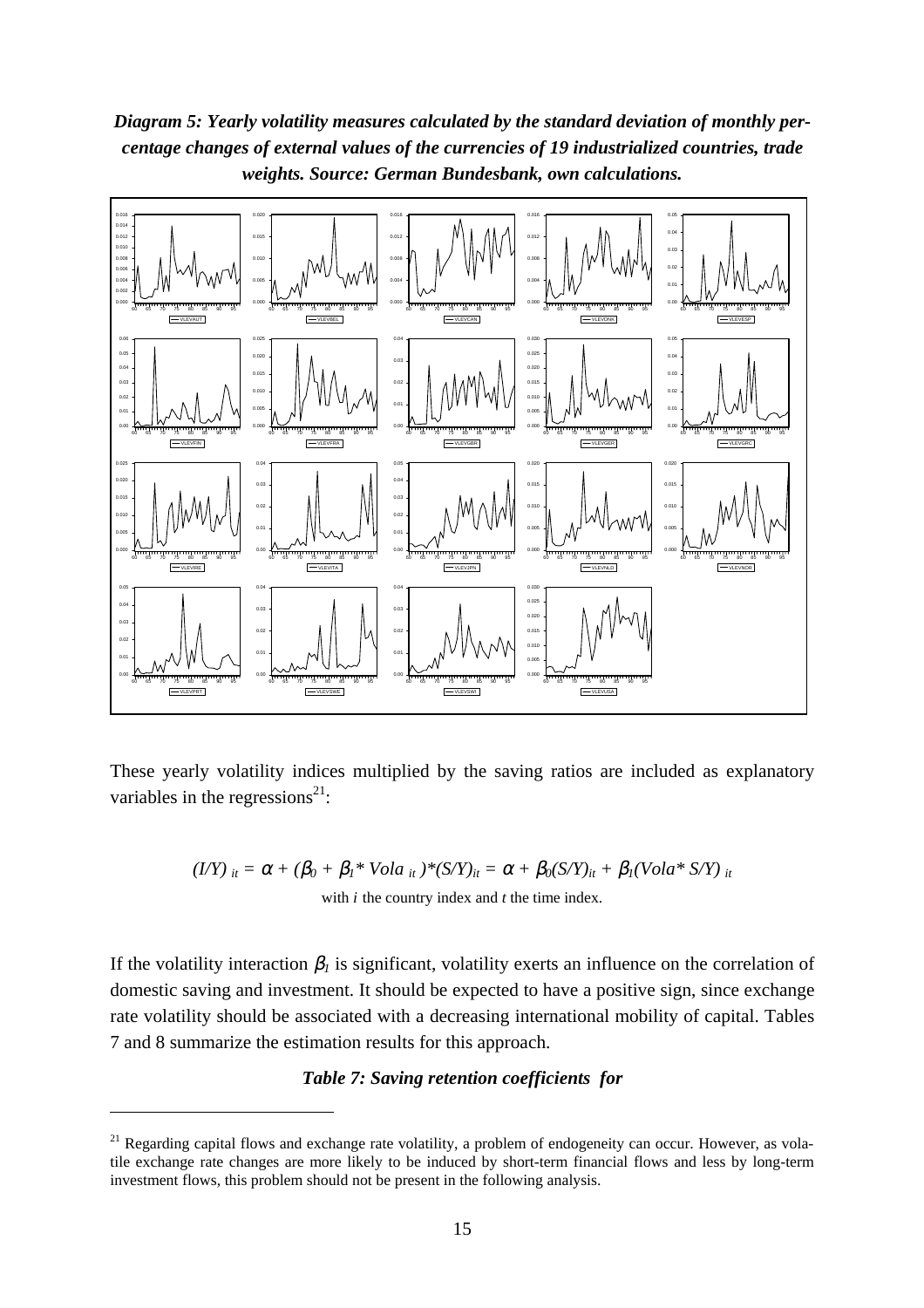*Diagram 5: Yearly volatility measures calculated by the standard deviation of monthly percentage changes of external values of the currencies of 19 industrialized countries, trade weights. Source: German Bundesbank, own calculations.*



These yearly volatility indices multiplied by the saving ratios are included as explanatory variables in the regressions<sup>21</sup>:

$$
(LY)_{it} = \alpha + (\beta_0 + \beta_1 * \text{Vol}a_{it}) * (S/Y)_{it} = \alpha + \beta_0 (S/Y)_{it} + \beta_1 (\text{Vol}a * S/Y)_{it}
$$
  
with *i* the country index and *t* the time index.

If the volatility interaction  $\beta_l$  is significant, volatility exerts an influence on the correlation of domestic saving and investment. It should be expected to have a positive sign, since exchange rate volatility should be associated with a decreasing international mobility of capital. Tables 7 and 8 summarize the estimation results for this approach.

#### *Table 7: Saving retention coefficients for*

<sup>&</sup>lt;sup>21</sup> Regarding capital flows and exchange rate volatility, a problem of endogeneity can occur. However, as volatile exchange rate changes are more likely to be induced by short-term financial flows and less by long-term investment flows, this problem should not be present in the following analysis.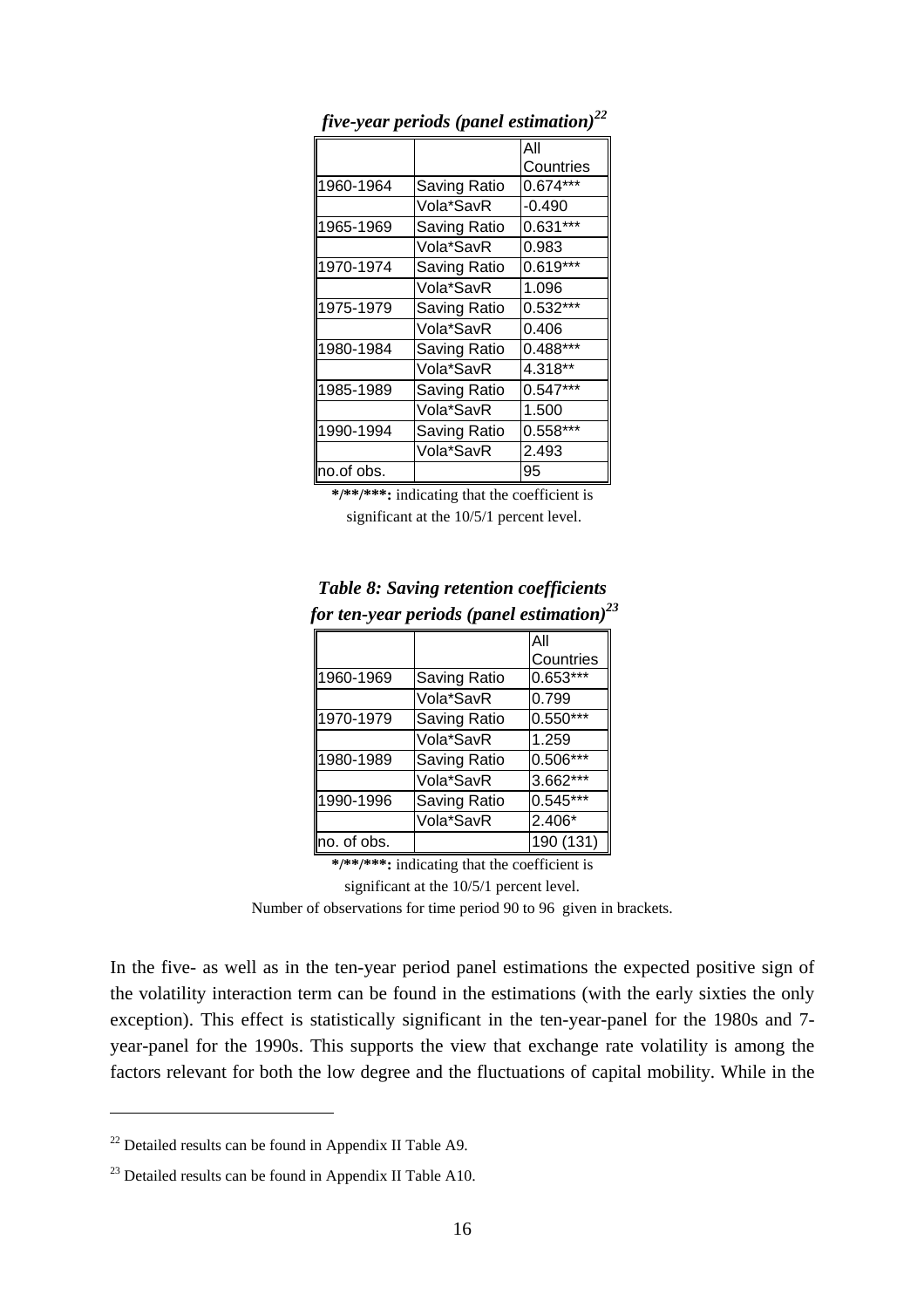|            |              | All        |
|------------|--------------|------------|
|            |              | Countries  |
| 1960-1964  | Saving Ratio | $0.674***$ |
|            | Vola*SavR    | $-0.490$   |
| 1965-1969  | Saving Ratio | $0.631***$ |
|            | Vola*SavR    | 0.983      |
| 1970-1974  | Saving Ratio | $0.619***$ |
|            | Vola*SavR    | 1.096      |
| 1975-1979  | Saving Ratio | $0.532***$ |
|            | Vola*SavR    | 0.406      |
| 1980-1984  | Saving Ratio | 0.488***   |
|            | Vola*SavR    | 4.318**    |
| 1985-1989  | Saving Ratio | $0.547***$ |
|            | Vola*SavR    | 1.500      |
| 1990-1994  | Saving Ratio | $0.558***$ |
|            | Vola*SavR    | 2.493      |
| no.of obs. |              | 95         |

 *five-year periods (panel estimation)<sup>22</sup>*

**\*/\*\*/\*\*\*:** indicating that the coefficient is significant at the 10/5/1 percent level.

|             | or ien-year perioas (panei esimulion) |            |
|-------------|---------------------------------------|------------|
|             |                                       | All        |
|             |                                       | Countries  |
| 1960-1969   | Saving Ratio                          | $0.653***$ |
|             | Vola*SavR                             | 0.799      |
| 1970-1979   | Saving Ratio                          | $0.550***$ |
|             | Vola*SavR                             | 1.259      |
| 1980-1989   | Saving Ratio                          | 0.506***   |
|             | Vola*SavR                             | 3.662***   |
| 1990-1996   | Saving Ratio                          | $0.545***$ |
|             | Vola*SavR                             | 2.406*     |
| no. of obs. |                                       | 190 (131)  |

#### *Table 8: Saving retention coefficients for ten-year periods (panel estimation)23*

**\*/\*\*/\*\*\*:** indicating that the coefficient is

significant at the 10/5/1 percent level.

Number of observations for time period 90 to 96 given in brackets.

In the five- as well as in the ten-year period panel estimations the expected positive sign of the volatility interaction term can be found in the estimations (with the early sixties the only exception). This effect is statistically significant in the ten-year-panel for the 1980s and 7 year-panel for the 1990s. This supports the view that exchange rate volatility is among the factors relevant for both the low degree and the fluctuations of capital mobility. While in the

 $22$  Detailed results can be found in Appendix II Table A9.

 $^{23}$  Detailed results can be found in Appendix II Table A10.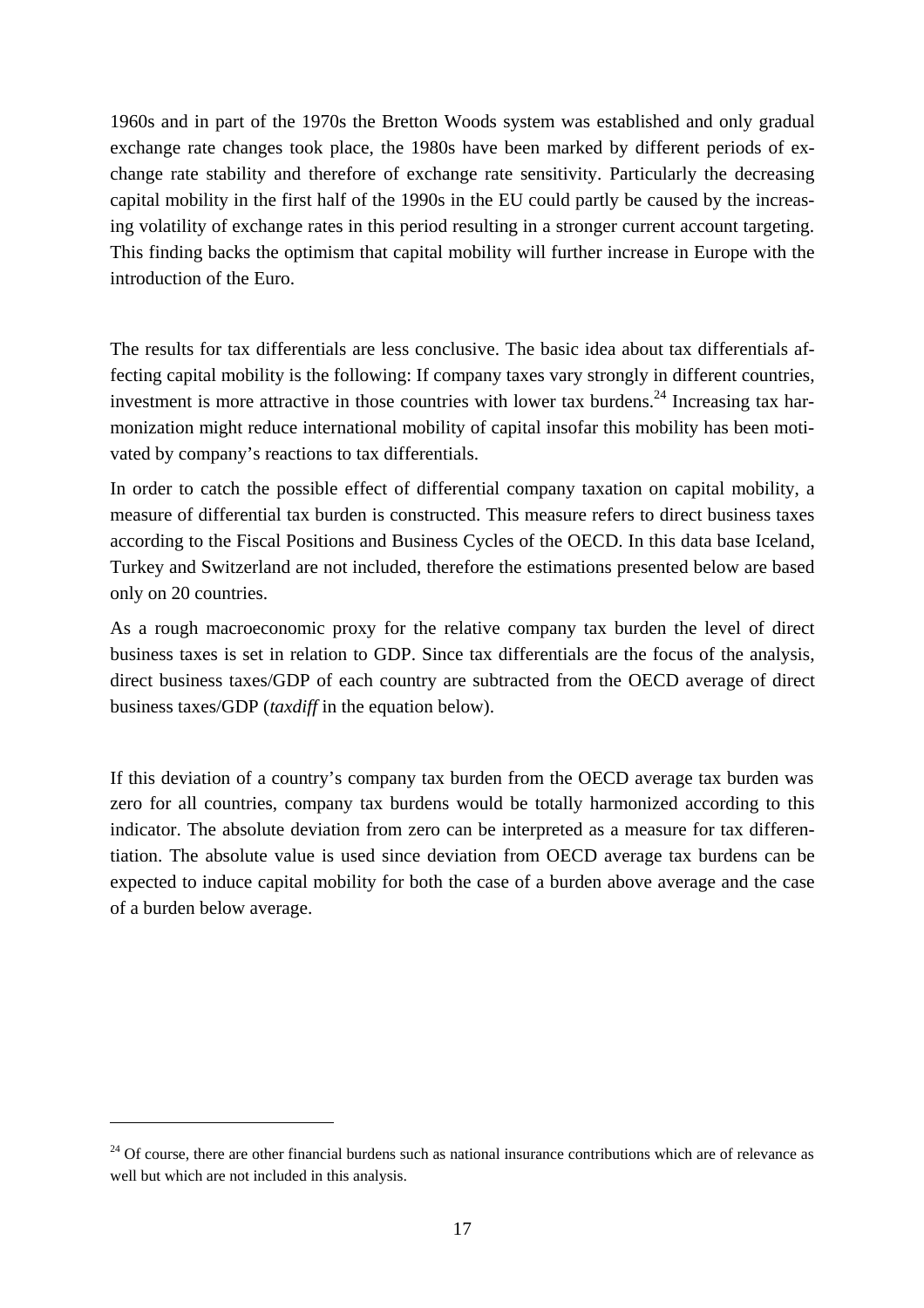1960s and in part of the 1970s the Bretton Woods system was established and only gradual exchange rate changes took place, the 1980s have been marked by different periods of exchange rate stability and therefore of exchange rate sensitivity. Particularly the decreasing capital mobility in the first half of the 1990s in the EU could partly be caused by the increasing volatility of exchange rates in this period resulting in a stronger current account targeting. This finding backs the optimism that capital mobility will further increase in Europe with the introduction of the Euro.

The results for tax differentials are less conclusive. The basic idea about tax differentials affecting capital mobility is the following: If company taxes vary strongly in different countries, investment is more attractive in those countries with lower tax burdens.<sup>24</sup> Increasing tax harmonization might reduce international mobility of capital insofar this mobility has been motivated by company's reactions to tax differentials.

In order to catch the possible effect of differential company taxation on capital mobility, a measure of differential tax burden is constructed. This measure refers to direct business taxes according to the Fiscal Positions and Business Cycles of the OECD. In this data base Iceland, Turkey and Switzerland are not included, therefore the estimations presented below are based only on 20 countries.

As a rough macroeconomic proxy for the relative company tax burden the level of direct business taxes is set in relation to GDP. Since tax differentials are the focus of the analysis, direct business taxes/GDP of each country are subtracted from the OECD average of direct business taxes/GDP (*taxdiff* in the equation below).

If this deviation of a country's company tax burden from the OECD average tax burden was zero for all countries, company tax burdens would be totally harmonized according to this indicator. The absolute deviation from zero can be interpreted as a measure for tax differentiation. The absolute value is used since deviation from OECD average tax burdens can be expected to induce capital mobility for both the case of a burden above average and the case of a burden below average.

 $24$  Of course, there are other financial burdens such as national insurance contributions which are of relevance as well but which are not included in this analysis.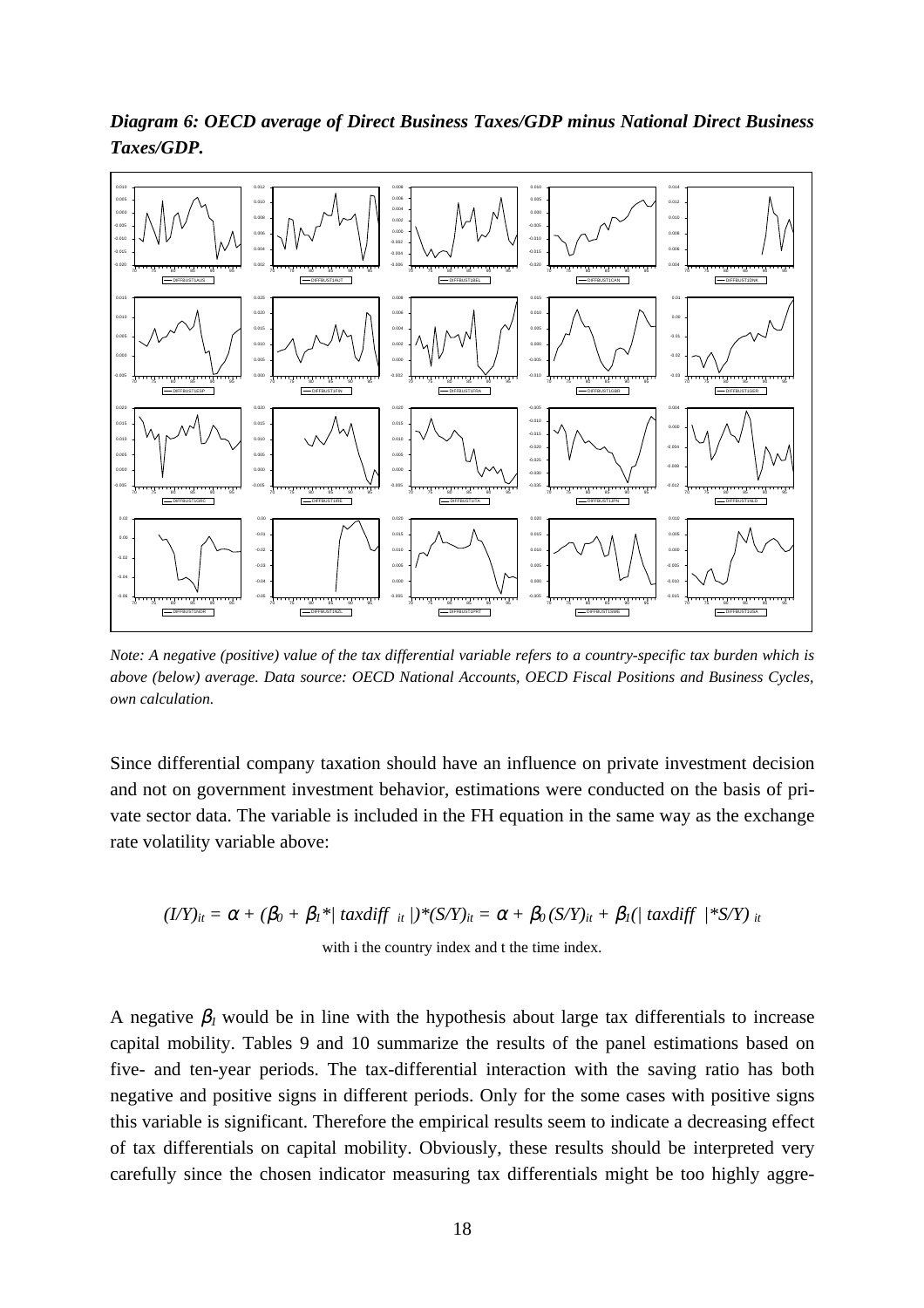



*Note: A negative (positive) value of the tax differential variable refers to a country-specific tax burden which is above (below) average. Data source: OECD National Accounts, OECD Fiscal Positions and Business Cycles, own calculation.*

Since differential company taxation should have an influence on private investment decision and not on government investment behavior, estimations were conducted on the basis of private sector data. The variable is included in the FH equation in the same way as the exchange rate volatility variable above:

 $(I/Y)_{it} = \alpha + (\beta_0 + \beta_1)^* / \tau \alpha x \text{diff}_{it} / (S/Y)_{it} = \alpha + \beta_0 (S/Y)_{it} + \beta_1 / \tau \alpha x \text{diff}_{it} / (S/Y)_{it}$ with i the country index and t the time index.

A negative  $\beta_l$  would be in line with the hypothesis about large tax differentials to increase capital mobility. Tables 9 and 10 summarize the results of the panel estimations based on five- and ten-year periods. The tax-differential interaction with the saving ratio has both negative and positive signs in different periods. Only for the some cases with positive signs this variable is significant. Therefore the empirical results seem to indicate a decreasing effect of tax differentials on capital mobility. Obviously, these results should be interpreted very carefully since the chosen indicator measuring tax differentials might be too highly aggre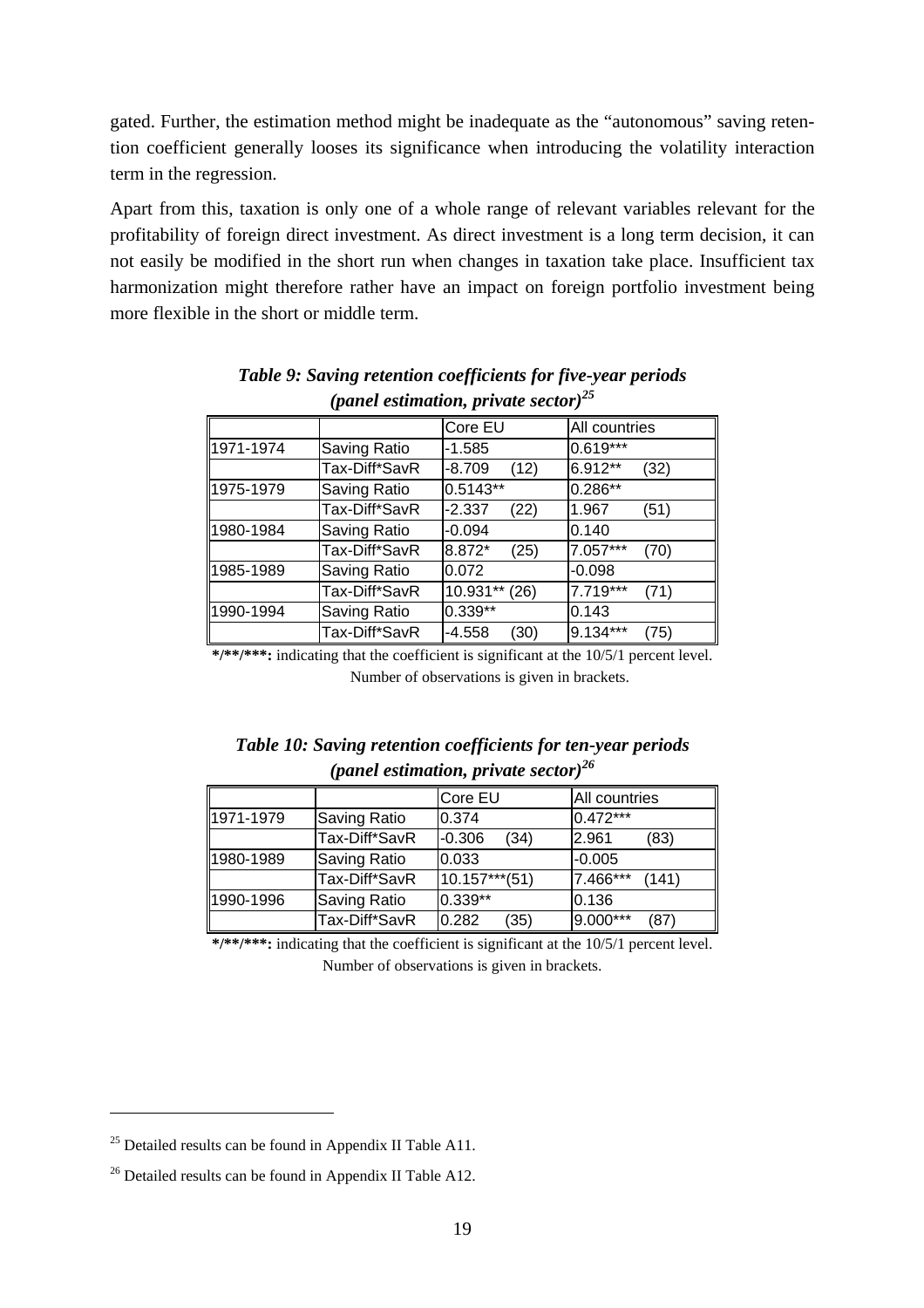gated. Further, the estimation method might be inadequate as the "autonomous" saving retention coefficient generally looses its significance when introducing the volatility interaction term in the regression.

Apart from this, taxation is only one of a whole range of relevant variables relevant for the profitability of foreign direct investment. As direct investment is a long term decision, it can not easily be modified in the short run when changes in taxation take place. Insufficient tax harmonization might therefore rather have an impact on foreign portfolio investment being more flexible in the short or middle term.

|           |               | Core EU          | All countries    |
|-----------|---------------|------------------|------------------|
| 1971-1974 | Saving Ratio  | $-1.585$         | $0.619***$       |
|           | Tax-Diff*SavR | $-8.709$<br>(12) | 6.912**<br>(32)  |
| 1975-1979 | Saving Ratio  | $0.5143**$       | $0.286**$        |
|           | Tax-Diff*SavR | $-2.337$<br>(22) | 1.967<br>(51)    |
| 1980-1984 | Saving Ratio  | $-0.094$         | 0.140            |
|           | Tax-Diff*SavR | 8.872*<br>(25)   | 7.057***<br>(70) |
| 1985-1989 | Saving Ratio  | 0.072            | $-0.098$         |
|           | Tax-Diff*SavR | 10.931**<br>(26) | 7.719***<br>(71) |
| 1990-1994 | Saving Ratio  | $0.339**$        | 0.143            |
|           | Tax-Diff*SavR | $-4.558$<br>(30) | 9.134***<br>(75) |

*Table 9: Saving retention coefficients for five-year periods (panel estimation, private sector)25*

**\*/\*\*/\*\*\*:** indicating that the coefficient is significant at the 10/5/1 percent level. Number of observations is given in brackets.

|  |                                                  | Table 10: Saving retention coefficients for ten-year periods |  |
|--|--------------------------------------------------|--------------------------------------------------------------|--|
|  | (panel estimation, private sector) <sup>26</sup> |                                                              |  |

|           |                     | Core EU          | All countries     |
|-----------|---------------------|------------------|-------------------|
| 1971-1979 | <b>Saving Ratio</b> | 0.374            | 0.472***          |
|           | Tax-Diff*SavR       | $-0.306$<br>(34) | 2.961<br>(83)     |
| 1980-1989 | <b>Saving Ratio</b> | 0.033            | $-0.005$          |
|           | Tax-Diff*SavR       | $10.157***$ (51) | 7.466***<br>(141) |
| 1990-1996 | <b>Saving Ratio</b> | $0.339**$        | 0.136             |
|           | Tax-Diff*SavR       | 0.282<br>(35)    | 9.000***<br>(87)  |

**\*/\*\*/\*\*\*:** indicating that the coefficient is significant at the 10/5/1 percent level. Number of observations is given in brackets.

 $25$  Detailed results can be found in Appendix II Table A11.

<sup>&</sup>lt;sup>26</sup> Detailed results can be found in Appendix II Table A12.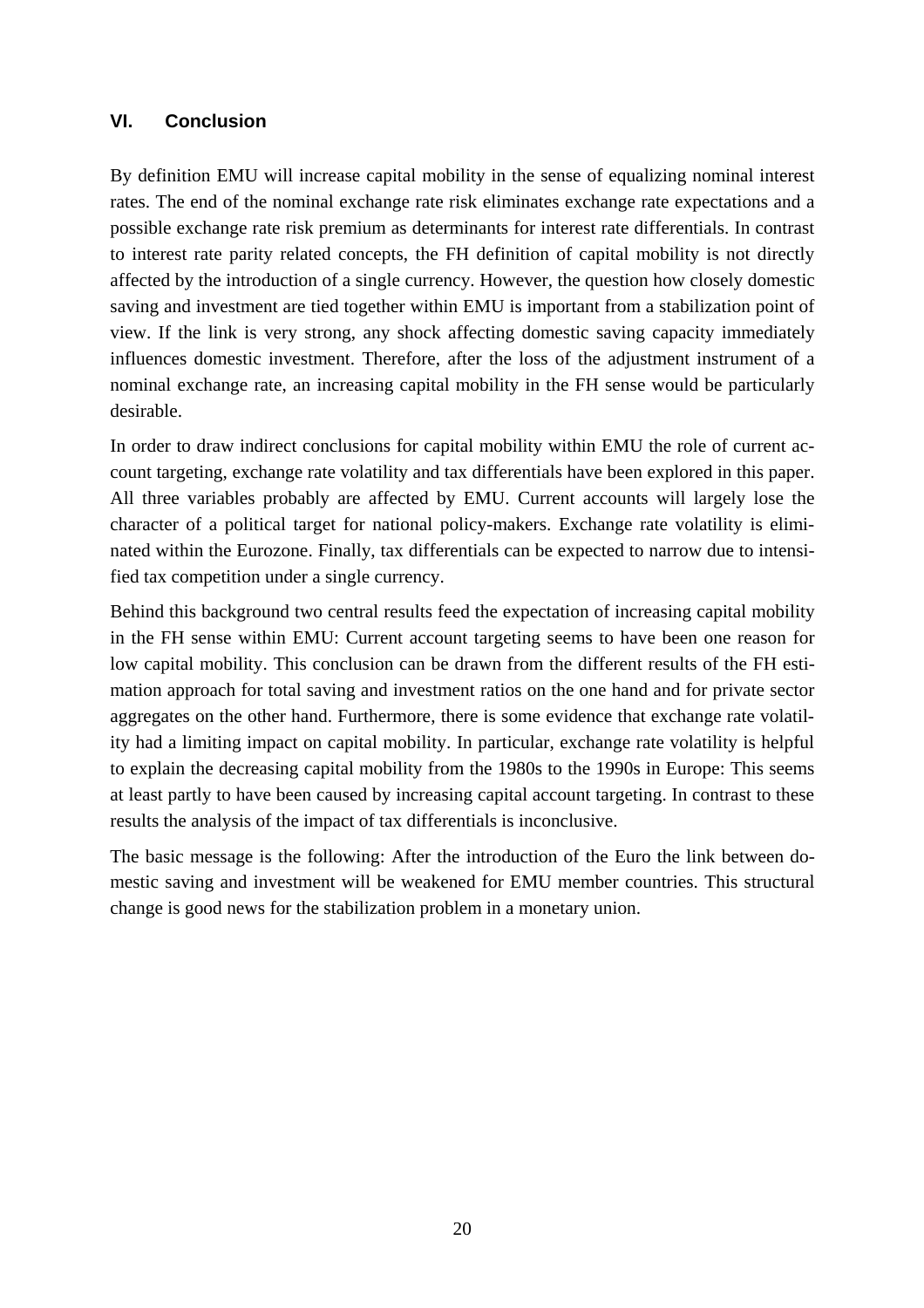#### **VI. Conclusion**

By definition EMU will increase capital mobility in the sense of equalizing nominal interest rates. The end of the nominal exchange rate risk eliminates exchange rate expectations and a possible exchange rate risk premium as determinants for interest rate differentials. In contrast to interest rate parity related concepts, the FH definition of capital mobility is not directly affected by the introduction of a single currency. However, the question how closely domestic saving and investment are tied together within EMU is important from a stabilization point of view. If the link is very strong, any shock affecting domestic saving capacity immediately influences domestic investment. Therefore, after the loss of the adjustment instrument of a nominal exchange rate, an increasing capital mobility in the FH sense would be particularly desirable.

In order to draw indirect conclusions for capital mobility within EMU the role of current account targeting, exchange rate volatility and tax differentials have been explored in this paper. All three variables probably are affected by EMU. Current accounts will largely lose the character of a political target for national policy-makers. Exchange rate volatility is eliminated within the Eurozone. Finally, tax differentials can be expected to narrow due to intensified tax competition under a single currency.

Behind this background two central results feed the expectation of increasing capital mobility in the FH sense within EMU: Current account targeting seems to have been one reason for low capital mobility. This conclusion can be drawn from the different results of the FH estimation approach for total saving and investment ratios on the one hand and for private sector aggregates on the other hand. Furthermore, there is some evidence that exchange rate volatility had a limiting impact on capital mobility. In particular, exchange rate volatility is helpful to explain the decreasing capital mobility from the 1980s to the 1990s in Europe: This seems at least partly to have been caused by increasing capital account targeting. In contrast to these results the analysis of the impact of tax differentials is inconclusive.

The basic message is the following: After the introduction of the Euro the link between domestic saving and investment will be weakened for EMU member countries. This structural change is good news for the stabilization problem in a monetary union.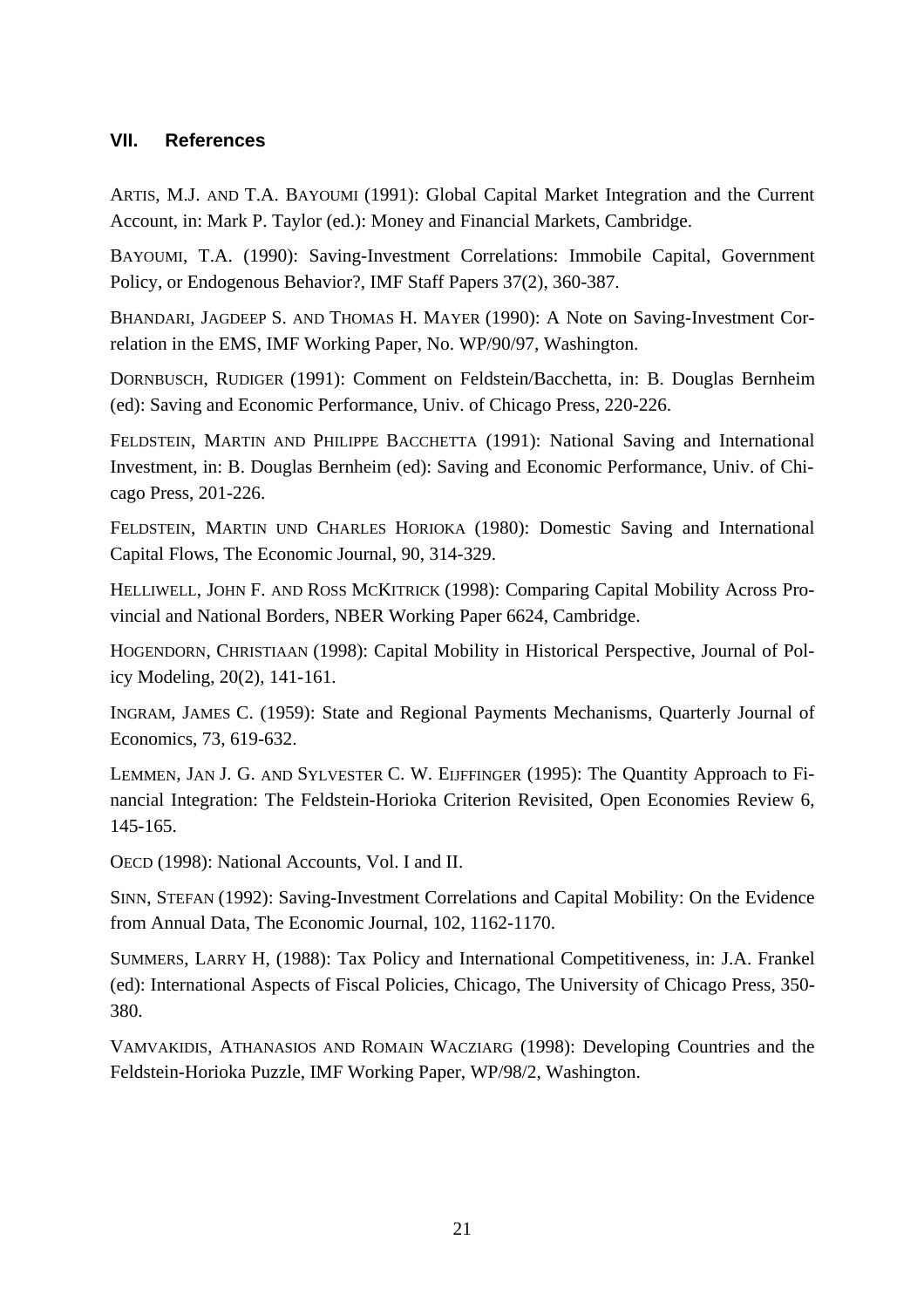### **VII. References**

ARTIS, M.J. AND T.A. BAYOUMI (1991): Global Capital Market Integration and the Current Account, in: Mark P. Taylor (ed.): Money and Financial Markets, Cambridge.

BAYOUMI, T.A. (1990): Saving-Investment Correlations: Immobile Capital, Government Policy, or Endogenous Behavior?, IMF Staff Papers 37(2), 360-387.

BHANDARI, JAGDEEP S. AND THOMAS H. MAYER (1990): A Note on Saving-Investment Correlation in the EMS, IMF Working Paper, No. WP/90/97, Washington.

DORNBUSCH, RUDIGER (1991): Comment on Feldstein/Bacchetta, in: B. Douglas Bernheim (ed): Saving and Economic Performance, Univ. of Chicago Press, 220-226.

FELDSTEIN, MARTIN AND PHILIPPE BACCHETTA (1991): National Saving and International Investment, in: B. Douglas Bernheim (ed): Saving and Economic Performance, Univ. of Chicago Press, 201-226.

FELDSTEIN, MARTIN UND CHARLES HORIOKA (1980): Domestic Saving and International Capital Flows, The Economic Journal, 90, 314-329.

HELLIWELL, JOHN F. AND ROSS MCKITRICK (1998): Comparing Capital Mobility Across Provincial and National Borders, NBER Working Paper 6624, Cambridge.

HOGENDORN, CHRISTIAAN (1998): Capital Mobility in Historical Perspective, Journal of Policy Modeling, 20(2), 141-161.

INGRAM, JAMES C. (1959): State and Regional Payments Mechanisms, Quarterly Journal of Economics, 73, 619-632.

LEMMEN, JAN J. G. AND SYLVESTER C. W. EIJFFINGER (1995): The Quantity Approach to Financial Integration: The Feldstein-Horioka Criterion Revisited, Open Economies Review 6, 145-165.

OECD (1998): National Accounts, Vol. I and II.

SINN, STEFAN (1992): Saving-Investment Correlations and Capital Mobility: On the Evidence from Annual Data, The Economic Journal, 102, 1162-1170.

SUMMERS, LARRY H, (1988): Tax Policy and International Competitiveness, in: J.A. Frankel (ed): International Aspects of Fiscal Policies, Chicago, The University of Chicago Press, 350- 380.

VAMVAKIDIS, ATHANASIOS AND ROMAIN WACZIARG (1998): Developing Countries and the Feldstein-Horioka Puzzle, IMF Working Paper, WP/98/2, Washington.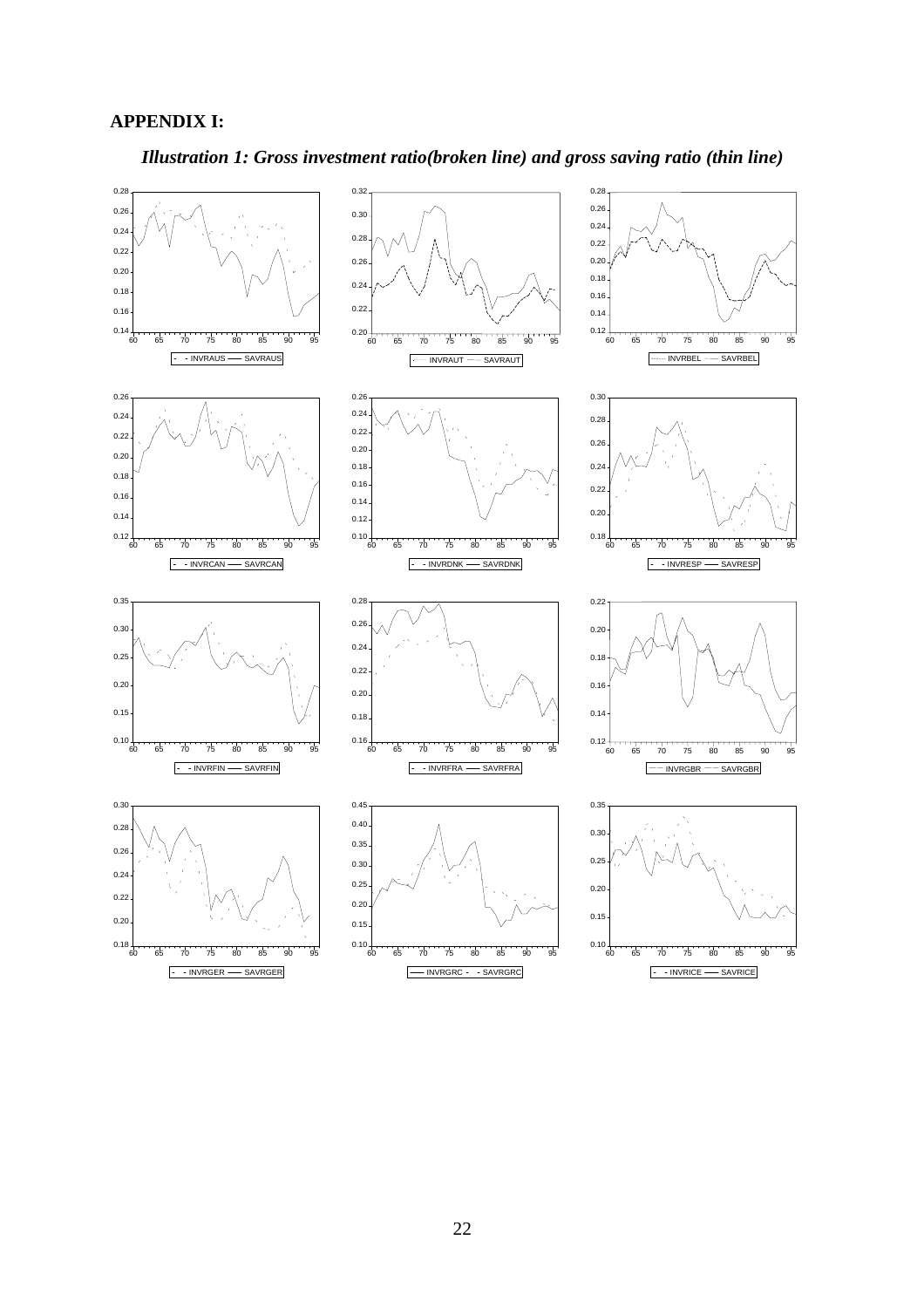#### **APPENDIX I:**



*Illustration 1: Gross investment ratio(broken line) and gross saving ratio (thin line)*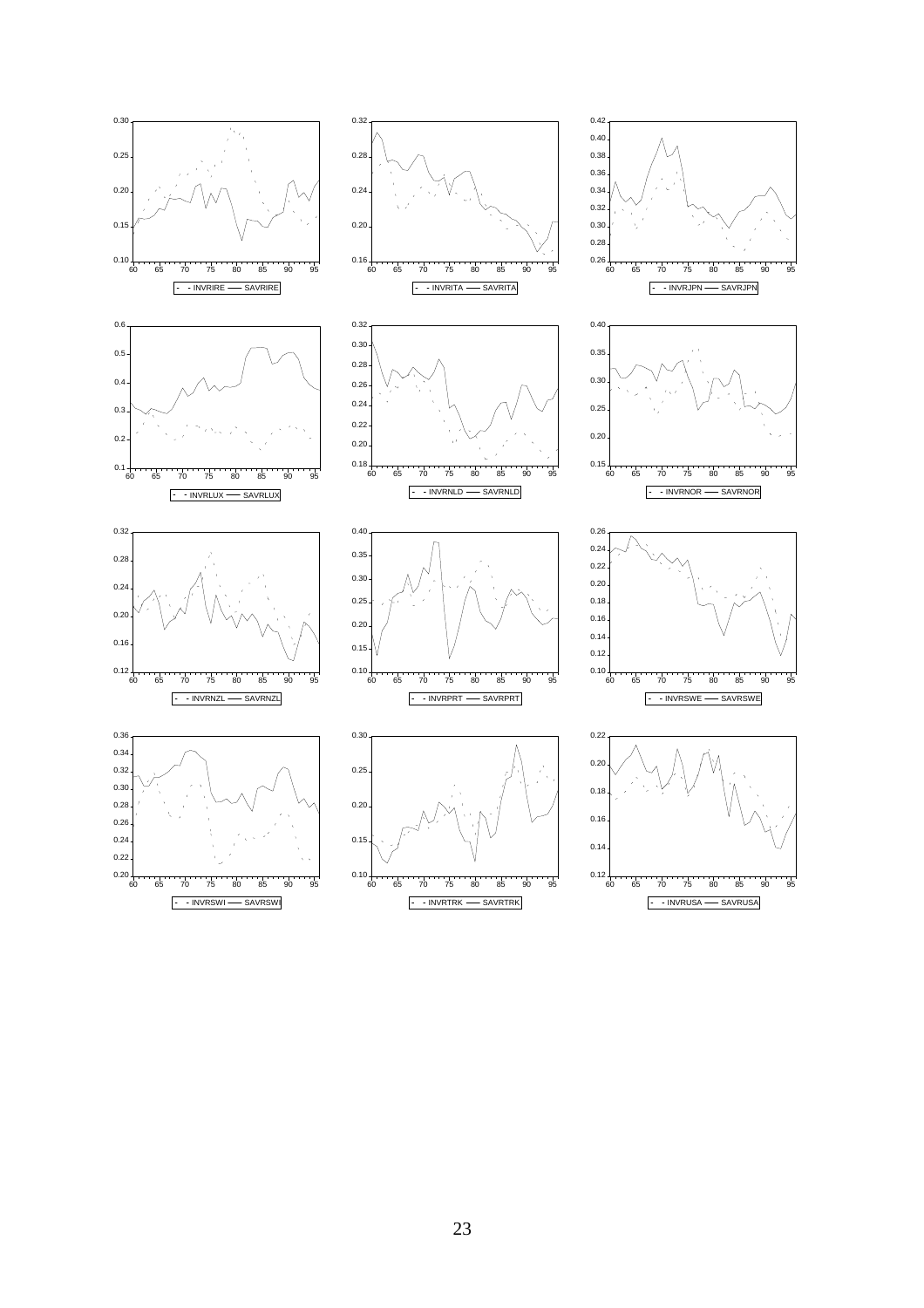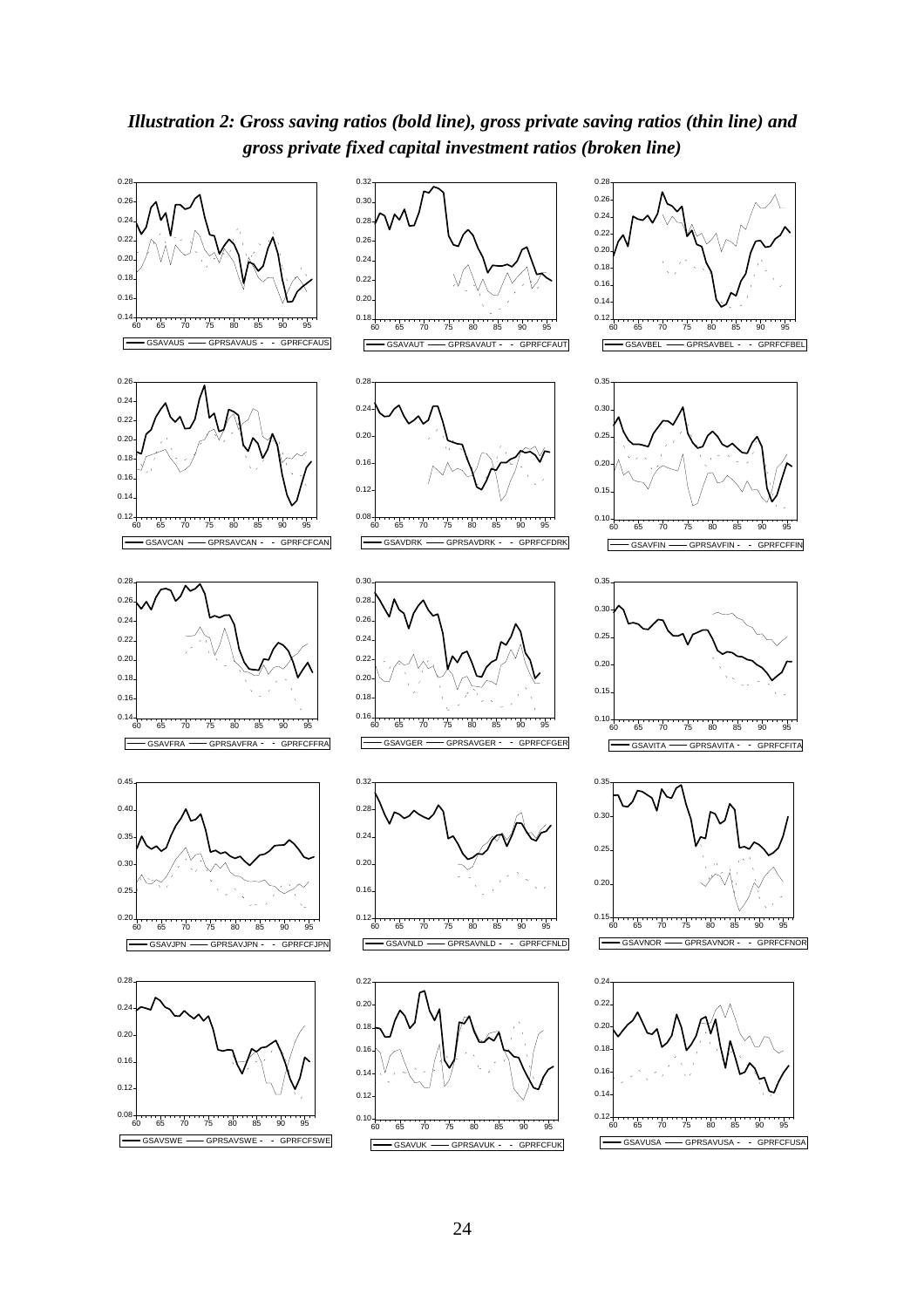*Illustration 2: Gross saving ratios (bold line), gross private saving ratios (thin line) and gross private fixed capital investment ratios (broken line)*

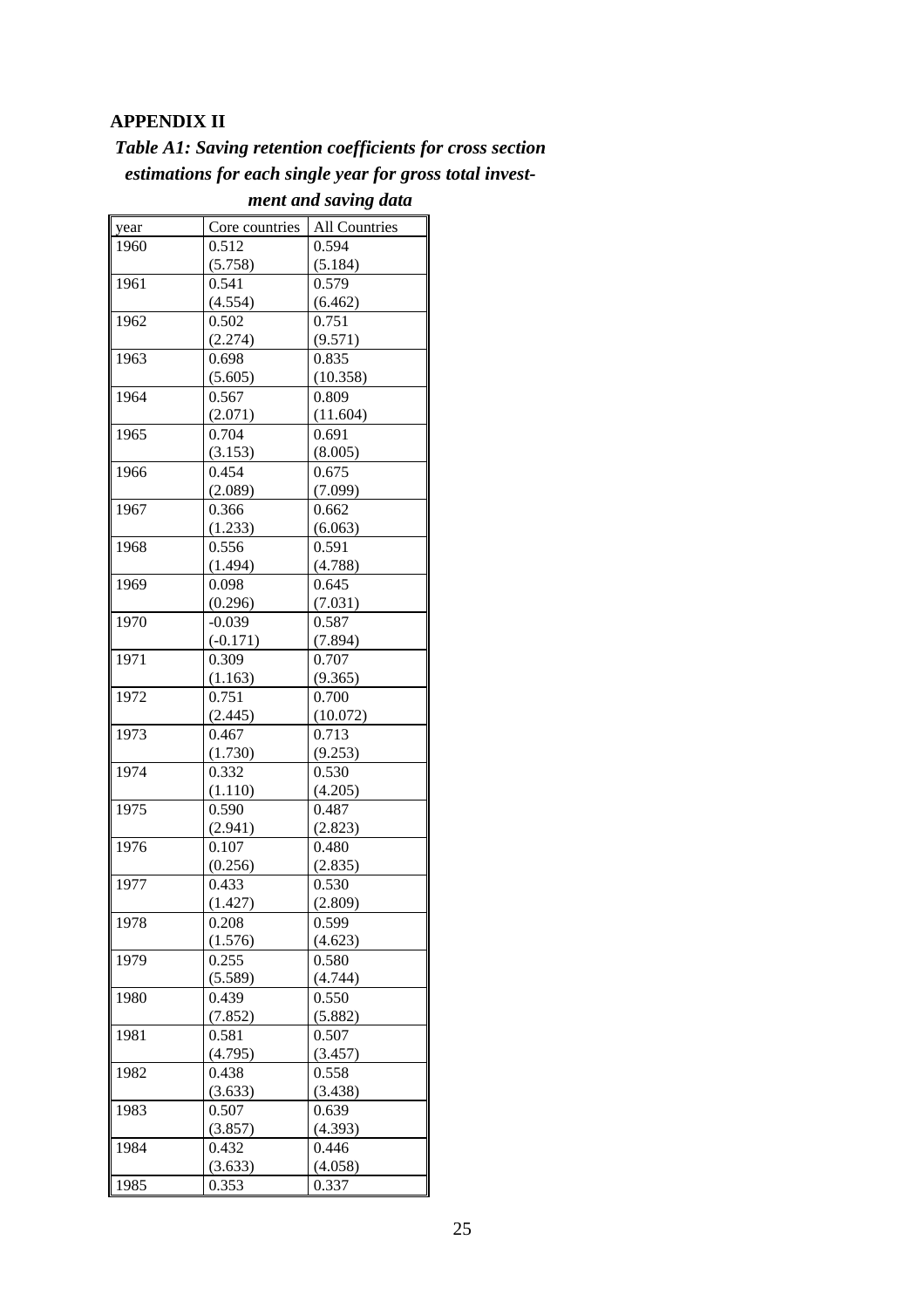### **APPENDIX II**

| <b>Table A1: Saving retention coefficients for cross section</b> |  |  |
|------------------------------------------------------------------|--|--|
| estimations for each single year for gross total invest-         |  |  |

| year | Core countries | All Countries |
|------|----------------|---------------|
| 1960 | 0.512          | 0.594         |
|      | (5.758)        | (5.184)       |
| 1961 | 0.541          | 0.579         |
|      | (4.554)        | (6.462)       |
| 1962 | 0.502          | 0.751         |
|      | (2.274)        | (9.571)       |
| 1963 | 0.698          | 0.835         |
|      | (5.605)        | (10.358)      |
| 1964 | 0.567          | 0.809         |
|      | (2.071)        | (11.604)      |
| 1965 | 0.704          | 0.691         |
|      | (3.153)        | (8.005)       |
| 1966 | 0.454          | 0.675         |
|      | (2.089)        | (7.099)       |
| 1967 | 0.366          | 0.662         |
|      | (1.233)        | (6.063)       |
| 1968 | 0.556          | 0.591         |
|      | (1.494)        | (4.788)       |
| 1969 | 0.098          | 0.645         |
|      | (0.296)        | (7.031)       |
| 1970 | $-0.039$       | 0.587         |
|      | $(-0.171)$     | (7.894)       |
| 1971 | 0.309          | 0.707         |
|      | (1.163)        | (9.365)       |
| 1972 | 0.751          | 0.700         |
|      | (2.445)        | (10.072)      |
| 1973 | 0.467          | 0.713         |
|      | (1.730)        | (9.253)       |
| 1974 | 0.332          | 0.530         |
|      | (1.110)        | (4.205)       |
| 1975 | 0.590          | 0.487         |
|      | (2.941)        | (2.823)       |
| 1976 | 0.107          | 0.480         |
|      | (0.256)        | (2.835)       |
| 1977 | 0.433          | 0.530         |
|      | (1.427)        | (2.809)       |
| 1978 | 0.208          | 0.599         |
|      | (1.576)        | (4.623)       |
| 1979 | 0.255          | 0.580         |
|      | (5.589)        | (4.744)       |
| 1980 | 0.439          | 0.550         |
|      | (7.852)        | (5.882)       |
| 1981 | 0.581          | 0.507         |
|      | (4.795)        | (3.457)       |
| 1982 | 0.438          | 0.558         |
|      | (3.633)        | (3.438)       |
| 1983 | 0.507          | 0.639         |
|      | (3.857)        | (4.393)       |
| 1984 | 0.432          | 0.446         |
|      | (3.633)        | (4.058)       |
| 1985 | 0.353          | 0.337         |

*ment and saving data*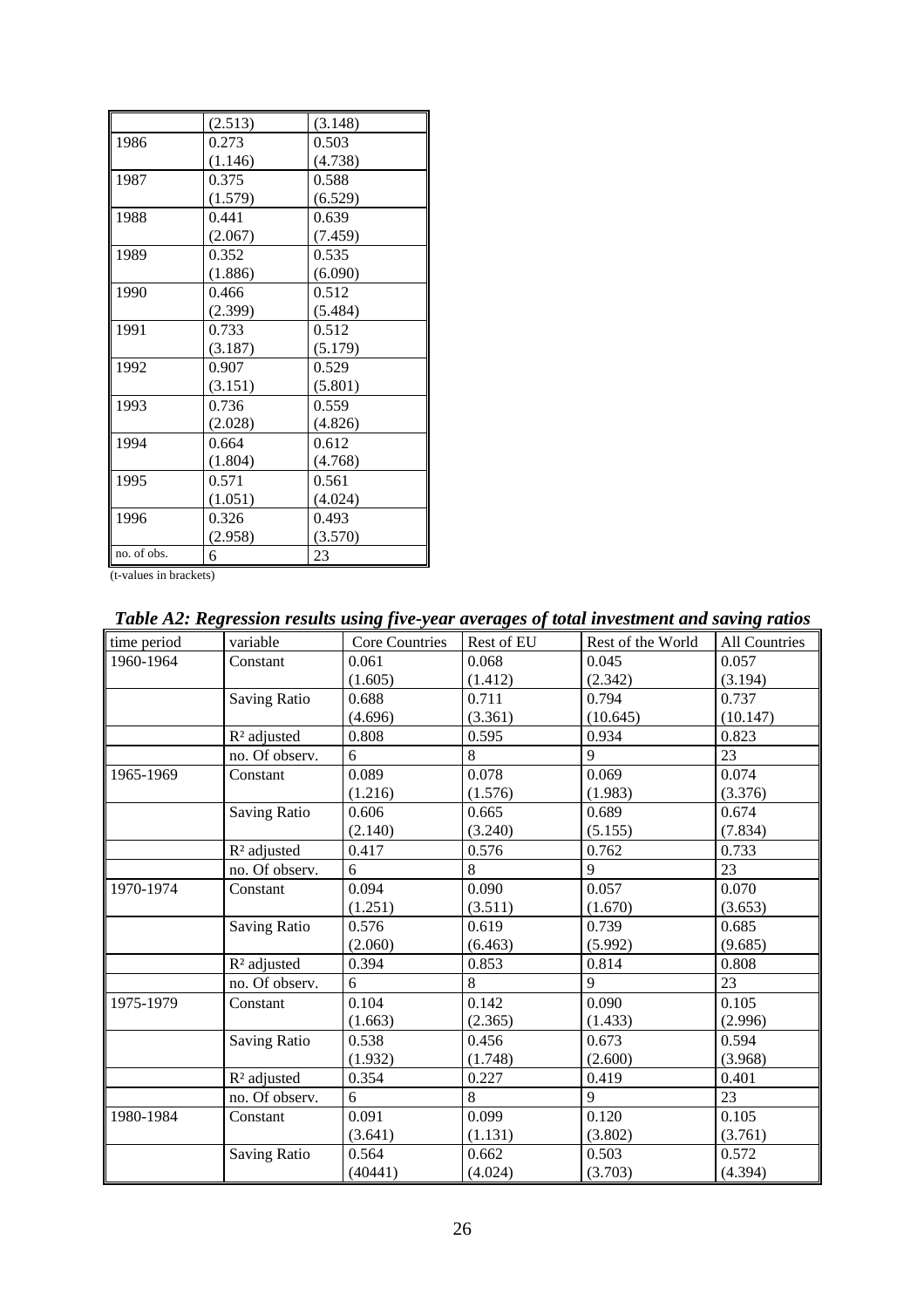|             | (2.513) | (3.148) |
|-------------|---------|---------|
| 1986        | 0.273   | 0.503   |
|             | (1.146) | (4.738) |
| 1987        | 0.375   | 0.588   |
|             | (1.579) | (6.529) |
| 1988        | 0.441   | 0.639   |
|             | (2.067) | (7.459) |
| 1989        | 0.352   | 0.535   |
|             | (1.886) | (6.090) |
| 1990        | 0.466   | 0.512   |
|             | (2.399) | (5.484) |
| 1991        | 0.733   | 0.512   |
|             | (3.187) | (5.179) |
| 1992        | 0.907   | 0.529   |
|             | (3.151) | (5.801) |
| 1993        | 0.736   | 0.559   |
|             | (2.028) | (4.826) |
| 1994        | 0.664   | 0.612   |
|             | (1.804) | (4.768) |
| 1995        | 0.571   | 0.561   |
|             | (1.051) | (4.024) |
| 1996        | 0.326   | 0.493   |
|             | (2.958) | (3.570) |
| no. of obs. | 6       | 23      |
|             |         |         |

*Table A2: Regression results using five-year averages of total investment and saving ratios*

| time period | variable                | Core Countries | Rest of EU | Rest of the World | All Countries |
|-------------|-------------------------|----------------|------------|-------------------|---------------|
| 1960-1964   | Constant                | 0.061          | 0.068      | 0.045             | 0.057         |
|             |                         | (1.605)        | (1.412)    | (2.342)           | (3.194)       |
|             | <b>Saving Ratio</b>     | 0.688          | 0.711      | 0.794             | 0.737         |
|             |                         | (4.696)        | (3.361)    | (10.645)          | (10.147)      |
|             | R <sup>2</sup> adjusted | 0.808          | 0.595      | 0.934             | 0.823         |
|             | no. Of observ.          | 6              | 8          | 9                 | 23            |
| 1965-1969   | Constant                | 0.089          | 0.078      | 0.069             | 0.074         |
|             |                         | (1.216)        | (1.576)    | (1.983)           | (3.376)       |
|             | <b>Saving Ratio</b>     | 0.606          | 0.665      | 0.689             | 0.674         |
|             |                         | (2.140)        | (3.240)    | (5.155)           | (7.834)       |
|             | R <sup>2</sup> adjusted | 0.417          | 0.576      | 0.762             | 0.733         |
|             | no. Of observ.          | 6              | 8          | 9                 | 23            |
| 1970-1974   | Constant                | 0.094          | 0.090      | 0.057             | 0.070         |
|             |                         | (1.251)        | (3.511)    | (1.670)           | (3.653)       |
|             | <b>Saving Ratio</b>     | 0.576          | 0.619      | 0.739             | 0.685         |
|             |                         | (2.060)        | (6.463)    | (5.992)           | (9.685)       |
|             | R <sup>2</sup> adjusted | 0.394          | 0.853      | 0.814             | 0.808         |
|             | no. Of observ.          | 6              | 8          | 9                 | 23            |
| 1975-1979   | Constant                | 0.104          | 0.142      | 0.090             | 0.105         |
|             |                         | (1.663)        | (2.365)    | (1.433)           | (2.996)       |
|             | <b>Saving Ratio</b>     | 0.538          | 0.456      | 0.673             | 0.594         |
|             |                         | (1.932)        | (1.748)    | (2.600)           | (3.968)       |
|             | R <sup>2</sup> adjusted | 0.354          | 0.227      | 0.419             | 0.401         |
|             | no. Of observ.          | 6              | 8          | 9                 | 23            |
| 1980-1984   | Constant                | 0.091          | 0.099      | 0.120             | 0.105         |
|             |                         | (3.641)        | (1.131)    | (3.802)           | (3.761)       |
|             | <b>Saving Ratio</b>     | 0.564          | 0.662      | 0.503             | 0.572         |
|             |                         | (40441)        | (4.024)    | (3.703)           | (4.394)       |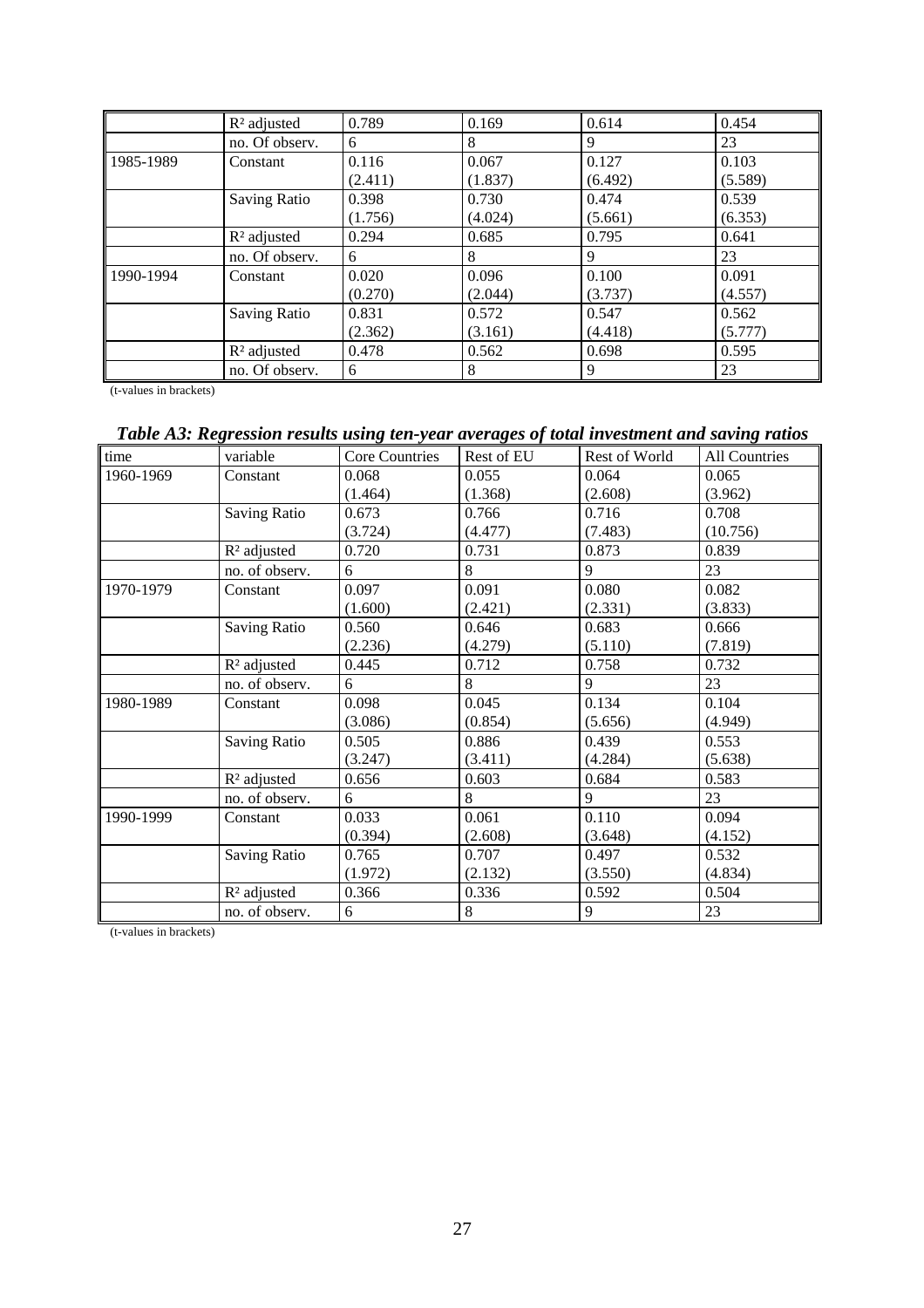|           | $R2$ adjusted       | 0.789   | 0.169   | 0.614   | 0.454   |
|-----------|---------------------|---------|---------|---------|---------|
|           | no. Of observ.      | 6       | 8       | 9       | 23      |
| 1985-1989 | Constant            | 0.116   | 0.067   | 0.127   | 0.103   |
|           |                     | (2.411) | (1.837) | (6.492) | (5.589) |
|           | <b>Saving Ratio</b> | 0.398   | 0.730   | 0.474   | 0.539   |
|           |                     | (1.756) | (4.024) | (5.661) | (6.353) |
|           | $R2$ adjusted       | 0.294   | 0.685   | 0.795   | 0.641   |
|           | no. Of observ.      | 6       | 8       | 9       | 23      |
| 1990-1994 | Constant            | 0.020   | 0.096   | 0.100   | 0.091   |
|           |                     | (0.270) | (2.044) | (3.737) | (4.557) |
|           | <b>Saving Ratio</b> | 0.831   | 0.572   | 0.547   | 0.562   |
|           |                     | (2.362) | (3.161) | (4.418) | (5.777) |
|           | $R2$ adjusted       | 0.478   | 0.562   | 0.698   | 0.595   |
|           | no. Of observ.      | 6       | 8       | 9       | 23      |

# *Table A3: Regression results using ten-year averages of total investment and saving ratios*

| time      | variable            | <b>Core Countries</b> | Rest of EU | Rest of World | <b>All Countries</b> |
|-----------|---------------------|-----------------------|------------|---------------|----------------------|
| 1960-1969 | Constant            | 0.068                 | 0.055      | 0.064         | 0.065                |
|           |                     | (1.464)               | (1.368)    | (2.608)       | (3.962)              |
|           | <b>Saving Ratio</b> | 0.673                 | 0.766      | 0.716         | 0.708                |
|           |                     | (3.724)               | (4.477)    | (7.483)       | (10.756)             |
|           | $R2$ adjusted       | 0.720                 | 0.731      | 0.873         | 0.839                |
|           | no. of observ.      | 6                     | 8          | 9             | 23                   |
| 1970-1979 | Constant            | 0.097                 | 0.091      | 0.080         | 0.082                |
|           |                     | (1.600)               | (2.421)    | (2.331)       | (3.833)              |
|           | <b>Saving Ratio</b> | 0.560                 | 0.646      | 0.683         | 0.666                |
|           |                     | (2.236)               | (4.279)    | (5.110)       | (7.819)              |
|           | $R2$ adjusted       | 0.445                 | 0.712      | 0.758         | 0.732                |
|           | no. of observ.      | 6                     | 8          | 9             | 23                   |
| 1980-1989 | Constant            | 0.098                 | 0.045      | 0.134         | 0.104                |
|           |                     | (3.086)               | (0.854)    | (5.656)       | (4.949)              |
|           | <b>Saving Ratio</b> | 0.505                 | 0.886      | 0.439         | 0.553                |
|           |                     | (3.247)               | (3.411)    | (4.284)       | (5.638)              |
|           | $R2$ adjusted       | 0.656                 | 0.603      | 0.684         | 0.583                |
|           | no. of observ.      | 6                     | 8          | 9             | 23                   |
| 1990-1999 | Constant            | 0.033                 | 0.061      | 0.110         | 0.094                |
|           |                     | (0.394)               | (2.608)    | (3.648)       | (4.152)              |
|           | <b>Saving Ratio</b> | 0.765                 | 0.707      | 0.497         | 0.532                |
|           |                     | (1.972)               | (2.132)    | (3.550)       | (4.834)              |
|           | $R2$ adjusted       | 0.366                 | 0.336      | 0.592         | 0.504                |
|           | no. of observ.      | 6                     | 8          | 9             | 23                   |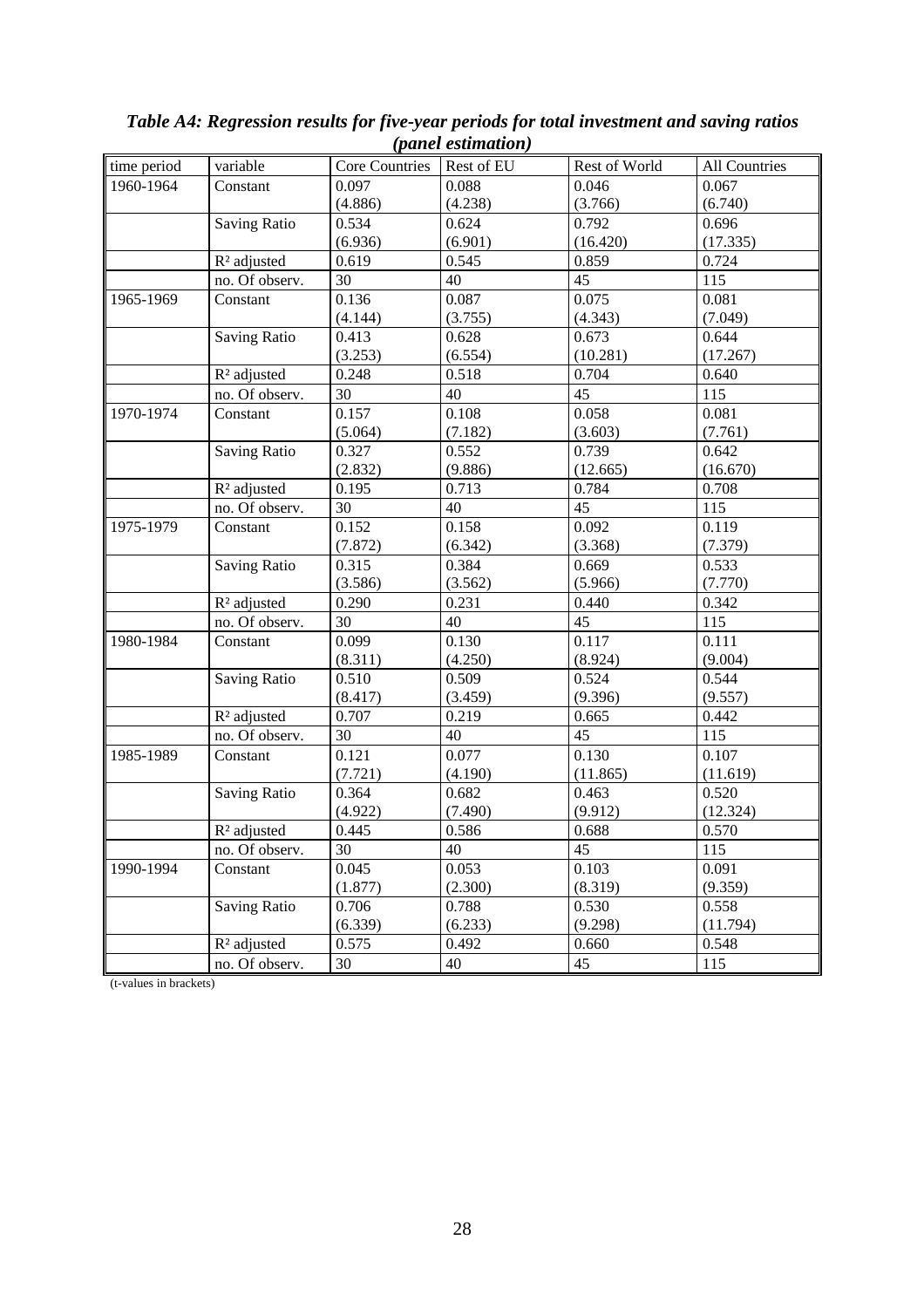|             |                         |                | $(\mu$ unce communicity |               |                      |
|-------------|-------------------------|----------------|-------------------------|---------------|----------------------|
| time period | variable                | Core Countries | Rest of EU              | Rest of World | <b>All Countries</b> |
| 1960-1964   | Constant                | 0.097          | 0.088                   | 0.046         | 0.067                |
|             |                         | (4.886)        | (4.238)                 | (3.766)       | (6.740)              |
|             | <b>Saving Ratio</b>     | 0.534          | 0.624                   | 0.792         | 0.696                |
|             |                         | (6.936)        | (6.901)                 | (16.420)      | (17.335)             |
|             | R <sup>2</sup> adjusted | 0.619          | 0.545                   | 0.859         | 0.724                |
|             | no. Of observ.          | 30             | 40                      | 45            | 115                  |
| 1965-1969   | Constant                | 0.136          | 0.087                   | 0.075         | 0.081                |
|             |                         | (4.144)        | (3.755)                 | (4.343)       | (7.049)              |
|             | <b>Saving Ratio</b>     | 0.413          | 0.628                   | 0.673         | 0.644                |
|             |                         | (3.253)        | (6.554)                 | (10.281)      | (17.267)             |
|             | R <sup>2</sup> adjusted | 0.248          | 0.518                   | 0.704         | 0.640                |
|             | no. Of observ.          | 30             | 40                      | 45            | 115                  |
| 1970-1974   | Constant                | 0.157          | 0.108                   | 0.058         | 0.081                |
|             |                         | (5.064)        | (7.182)                 | (3.603)       | (7.761)              |
|             | <b>Saving Ratio</b>     | 0.327          | 0.552                   | 0.739         | 0.642                |
|             |                         | (2.832)        | (9.886)                 | (12.665)      | (16.670)             |
|             | R <sup>2</sup> adjusted | 0.195          | 0.713                   | 0.784         | 0.708                |
|             | no. Of observ.          | 30             | 40                      | 45            | 115                  |
| 1975-1979   | Constant                | 0.152          | 0.158                   | 0.092         | 0.119                |
|             |                         | (7.872)        | (6.342)                 | (3.368)       | (7.379)              |
|             | <b>Saving Ratio</b>     | 0.315          | 0.384                   | 0.669         | 0.533                |
|             |                         | (3.586)        | (3.562)                 | (5.966)       | (7.770)              |
|             | R <sup>2</sup> adjusted | 0.290          | 0.231                   | 0.440         | 0.342                |
|             | no. Of observ.          | 30             | 40                      | 45            | 115                  |
| 1980-1984   | Constant                | 0.099          | 0.130                   | 0.117         | 0.111                |
|             |                         | (8.311)        | (4.250)                 | (8.924)       | (9.004)              |
|             | <b>Saving Ratio</b>     | 0.510          | 0.509                   | 0.524         | 0.544                |
|             |                         | (8.417)        | (3.459)                 | (9.396)       | (9.557)              |
|             | R <sup>2</sup> adjusted | 0.707          | 0.219                   | 0.665         | 0.442                |
|             | no. Of observ.          | 30             | 40                      | 45            | 115                  |
| 1985-1989   | Constant                | 0.121          | 0.077                   | 0.130         | 0.107                |
|             |                         | (7.721)        | (4.190)                 | (11.865)      | (11.619)             |
|             | <b>Saving Ratio</b>     | 0.364          | 0.682                   | 0.463         | 0.520                |
|             |                         | (4.922)        | (7.490)                 | (9.912)       | (12.324)             |
|             | R <sup>2</sup> adjusted | 0.445          | 0.586                   | 0.688         | 0.570                |
|             | no. Of observ.          | 30             | 40                      | 45            | 115                  |
| 1990-1994   | Constant                | 0.045          | 0.053                   | 0.103         | 0.091                |
|             |                         | (1.877)        | (2.300)                 | (8.319)       | (9.359)              |
|             | <b>Saving Ratio</b>     | 0.706          | 0.788                   | 0.530         | 0.558                |
|             |                         | (6.339)        | (6.233)                 | (9.298)       | (11.794)             |
|             | R <sup>2</sup> adjusted | 0.575          | 0.492                   | 0.660         | 0.548                |
|             | no. Of observ.          | 30             | 40                      | 45            | 115                  |

#### *Table A4: Regression results for five-year periods for total investment and saving ratios (panel estimation)*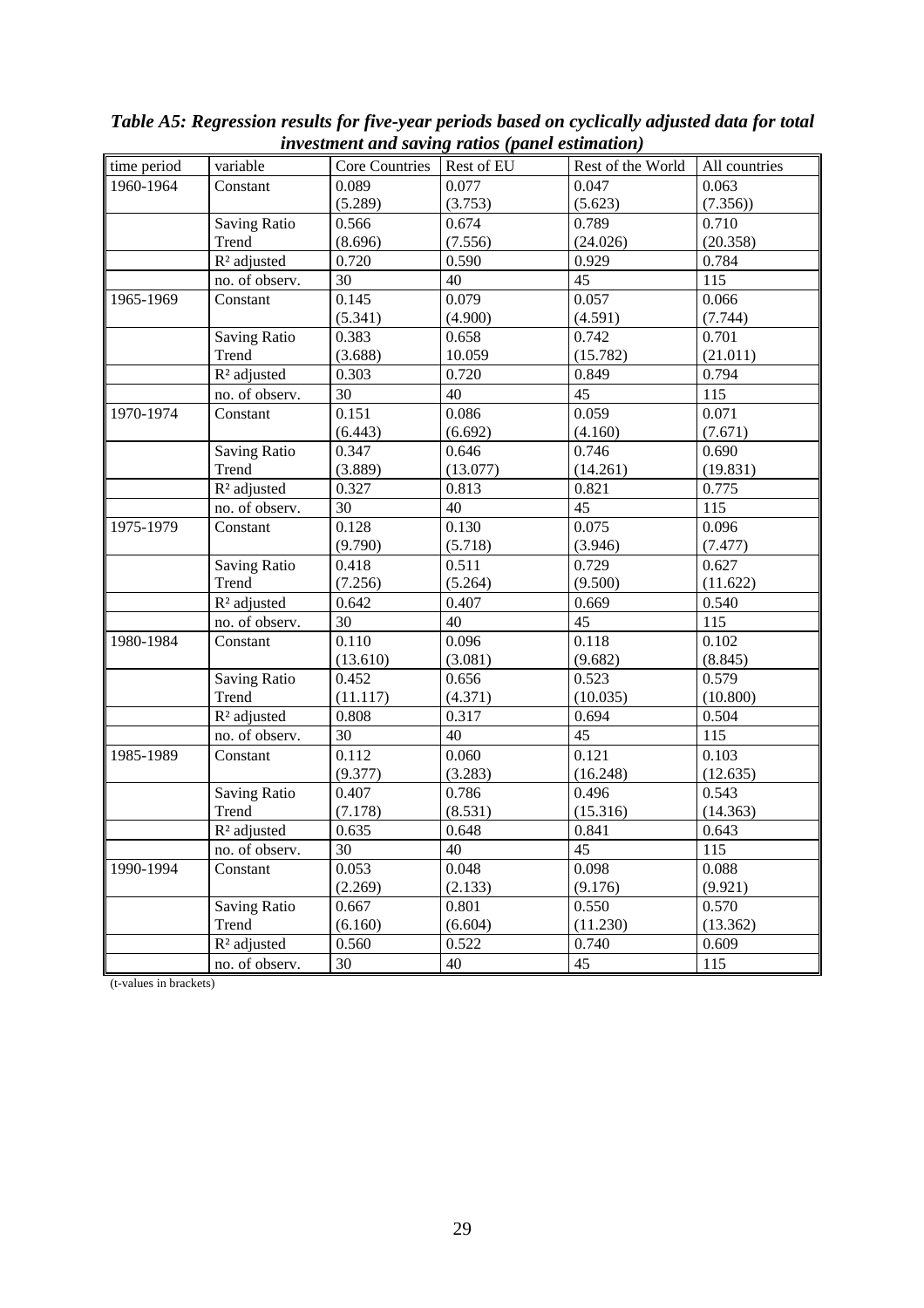|             |                         |                | nresintent ana saring ranos (panel esiimanon) |                   |               |
|-------------|-------------------------|----------------|-----------------------------------------------|-------------------|---------------|
| time period | variable                | Core Countries | Rest of EU                                    | Rest of the World | All countries |
| 1960-1964   | Constant                | 0.089          | 0.077                                         | 0.047             | 0.063         |
|             |                         | (5.289)        | (3.753)                                       | (5.623)           | (7.356)       |
|             | <b>Saving Ratio</b>     | 0.566          | 0.674                                         | 0.789             | 0.710         |
|             | Trend                   | (8.696)        | (7.556)                                       | (24.026)          | (20.358)      |
|             | R <sup>2</sup> adjusted | 0.720          | 0.590                                         | 0.929             | 0.784         |
|             | no. of observ.          | 30             | 40                                            | 45                | 115           |
| 1965-1969   | Constant                | 0.145          | 0.079                                         | 0.057             | 0.066         |
|             |                         | (5.341)        | (4.900)                                       | (4.591)           | (7.744)       |
|             | <b>Saving Ratio</b>     | 0.383          | 0.658                                         | 0.742             | 0.701         |
|             | Trend                   | (3.688)        | 10.059                                        | (15.782)          | (21.011)      |
|             | R <sup>2</sup> adjusted | 0.303          | 0.720                                         | 0.849             | 0.794         |
|             | no. of observ.          | 30             | 40                                            | 45                | 115           |
| 1970-1974   | Constant                | 0.151          | 0.086                                         | 0.059             | 0.071         |
|             |                         | (6.443)        | (6.692)                                       | (4.160)           | (7.671)       |
|             | <b>Saving Ratio</b>     | 0.347          | 0.646                                         | 0.746             | 0.690         |
|             | Trend                   | (3.889)        | (13.077)                                      | (14.261)          | (19.831)      |
|             | R <sup>2</sup> adjusted | 0.327          | 0.813                                         | 0.821             | 0.775         |
|             | no. of observ.          | 30             | 40                                            | 45                | 115           |
| 1975-1979   | Constant                | 0.128          | 0.130                                         | 0.075             | 0.096         |
|             |                         | (9.790)        | (5.718)                                       | (3.946)           | (7.477)       |
|             | <b>Saving Ratio</b>     | 0.418          | 0.511                                         | 0.729             | 0.627         |
|             | Trend                   | (7.256)        | (5.264)                                       | (9.500)           | (11.622)      |
|             | R <sup>2</sup> adjusted | 0.642          | 0.407                                         | 0.669             | 0.540         |
|             | no. of observ.          | 30             | 40                                            | 45                | 115           |
| 1980-1984   | Constant                | 0.110          | 0.096                                         | 0.118             | 0.102         |
|             |                         | (13.610)       | (3.081)                                       | (9.682)           | (8.845)       |
|             | <b>Saving Ratio</b>     | 0.452          | 0.656                                         | 0.523             | 0.579         |
|             | Trend                   | (11.117)       | (4.371)                                       | (10.035)          | (10.800)      |
|             | R <sup>2</sup> adjusted | 0.808          | 0.317                                         | 0.694             | 0.504         |
|             | no. of observ.          | 30             | 40                                            | 45                | 115           |
| 1985-1989   | Constant                | 0.112          | 0.060                                         | 0.121             | 0.103         |
|             |                         | (9.377)        | (3.283)                                       | (16.248)          | (12.635)      |
|             | <b>Saving Ratio</b>     | 0.407          | 0.786                                         | 0.496             | 0.543         |
|             | Trend                   | (7.178)        | (8.531)                                       | (15.316)          | (14.363)      |
|             | R <sup>2</sup> adjusted | 0.635          | 0.648                                         | 0.841             | 0.643         |
|             | no. of observ.          | 30             | 40                                            | 45                | 115           |
| 1990-1994   | Constant                | 0.053          | 0.048                                         | 0.098             | 0.088         |
|             |                         | (2.269)        | (2.133)                                       | (9.176)           | (9.921)       |
|             | <b>Saving Ratio</b>     | 0.667          | 0.801                                         | 0.550             | 0.570         |
|             | Trend                   | (6.160)        | (6.604)                                       | (11.230)          | (13.362)      |
|             | $R2$ adjusted           | 0.560          | 0.522                                         | 0.740             | 0.609         |
|             | no. of observ.          | 30             | 40                                            | 45                | 115           |
|             |                         |                |                                               |                   |               |

*Table A5: Regression results for five-year periods based on cyclically adjusted data for total investment and saving ratios (panel estimation)*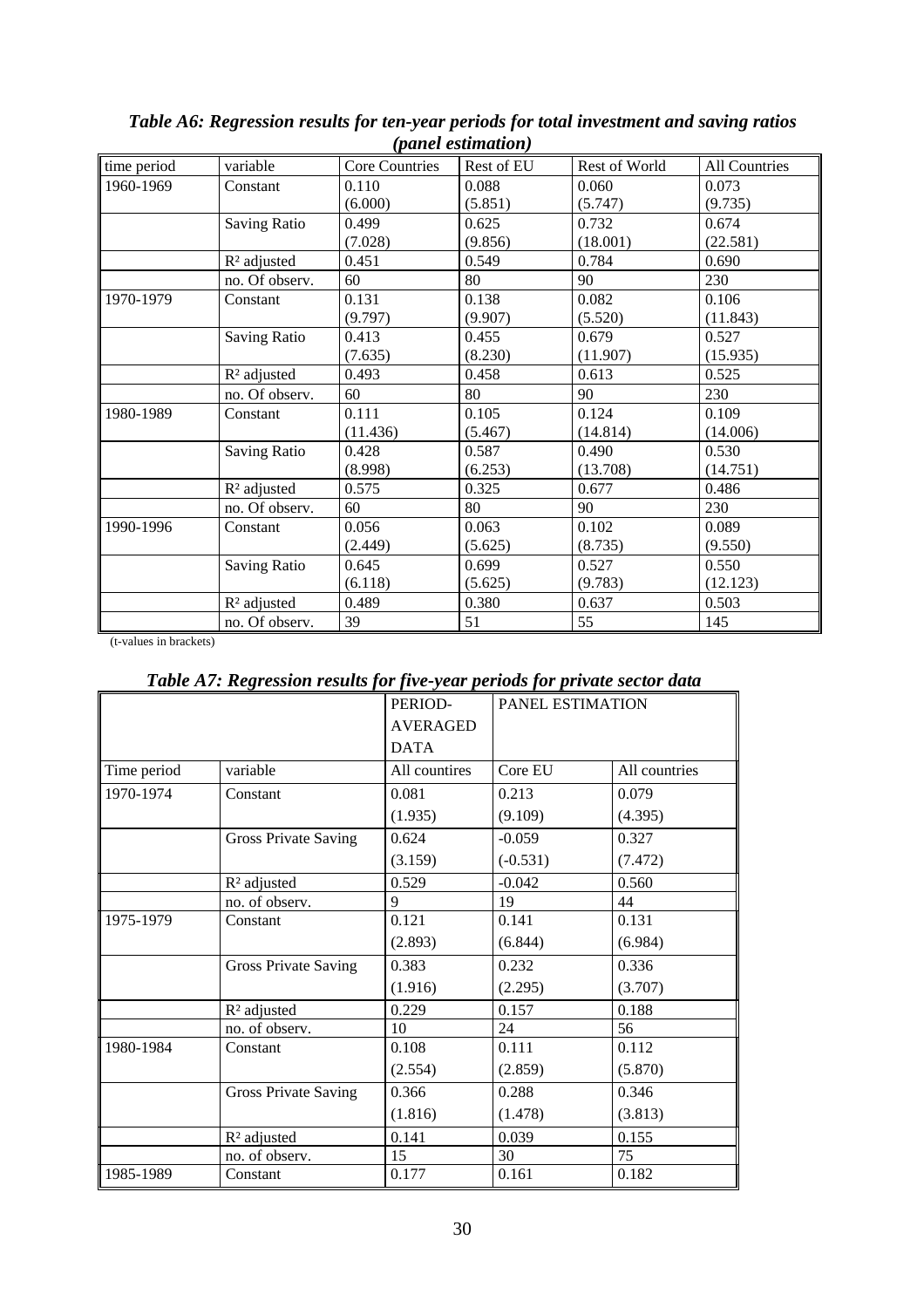| (panet estimation) |                         |                |            |               |                      |  |
|--------------------|-------------------------|----------------|------------|---------------|----------------------|--|
| time period        | variable                | Core Countries | Rest of EU | Rest of World | <b>All Countries</b> |  |
| 1960-1969          | Constant                | 0.110          | 0.088      | 0.060         | 0.073                |  |
|                    |                         | (6.000)        | (5.851)    | (5.747)       | (9.735)              |  |
|                    | <b>Saving Ratio</b>     | 0.499          | 0.625      | 0.732         | 0.674                |  |
|                    |                         | (7.028)        | (9.856)    | (18.001)      | (22.581)             |  |
|                    | R <sup>2</sup> adjusted | 0.451          | 0.549      | 0.784         | 0.690                |  |
|                    | no. Of observ.          | 60             | 80         | 90            | 230                  |  |
| 1970-1979          | Constant                | 0.131          | 0.138      | 0.082         | 0.106                |  |
|                    |                         | (9.797)        | (9.907)    | (5.520)       | (11.843)             |  |
|                    | <b>Saving Ratio</b>     | 0.413          | 0.455      | 0.679         | 0.527                |  |
|                    |                         | (7.635)        | (8.230)    | (11.907)      | (15.935)             |  |
|                    | $R2$ adjusted           | 0.493          | 0.458      | 0.613         | 0.525                |  |
|                    | no. Of observ.          | 60             | 80         | 90            | 230                  |  |
| 1980-1989          | Constant                | 0.111          | 0.105      | 0.124         | 0.109                |  |
|                    |                         | (11.436)       | (5.467)    | (14.814)      | (14.006)             |  |
|                    | <b>Saving Ratio</b>     | 0.428          | 0.587      | 0.490         | 0.530                |  |
|                    |                         | (8.998)        | (6.253)    | (13.708)      | (14.751)             |  |
|                    | $R2$ adjusted           | 0.575          | 0.325      | 0.677         | 0.486                |  |
|                    | no. Of observ.          | 60             | 80         | 90            | 230                  |  |
| 1990-1996          | Constant                | 0.056          | 0.063      | 0.102         | 0.089                |  |
|                    |                         | (2.449)        | (5.625)    | (8.735)       | (9.550)              |  |
|                    | Saving Ratio            | 0.645          | 0.699      | 0.527         | 0.550                |  |
|                    |                         | (6.118)        | (5.625)    | (9.783)       | (12.123)             |  |
|                    | R <sup>2</sup> adjusted | 0.489          | 0.380      | 0.637         | 0.503                |  |
|                    | no. Of observ.          | 39             | 51         | 55            | 145                  |  |

*Table A6: Regression results for ten-year periods for total investment and saving ratios (panel estimation)*

### *Table A7: Regression results for five-year periods for private sector data*

|             |                             | PERIOD-         | <b>PANEL ESTIMATION</b> |               |
|-------------|-----------------------------|-----------------|-------------------------|---------------|
|             |                             | <b>AVERAGED</b> |                         |               |
|             |                             | <b>DATA</b>     |                         |               |
| Time period | variable                    | All countires   | Core EU                 | All countries |
| 1970-1974   | Constant                    | 0.081           | 0.213                   | 0.079         |
|             |                             | (1.935)         | (9.109)                 | (4.395)       |
|             | <b>Gross Private Saving</b> | 0.624           | $-0.059$                | 0.327         |
|             |                             | (3.159)         | $(-0.531)$              | (7.472)       |
|             | R <sup>2</sup> adjusted     | 0.529           | $-0.042$                | 0.560         |
|             | no. of observ.              | 9               | 19                      | 44            |
| 1975-1979   | Constant                    | 0.121           | 0.141                   | 0.131         |
|             |                             | (2.893)         | (6.844)                 | (6.984)       |
|             | <b>Gross Private Saving</b> | 0.383           | 0.232                   | 0.336         |
|             |                             | (1.916)         | (2.295)                 | (3.707)       |
|             | $R2$ adjusted               | 0.229           | 0.157                   | 0.188         |
|             | no. of observ.              | 10              | 24                      | 56            |
| 1980-1984   | Constant                    | 0.108           | 0.111                   | 0.112         |
|             |                             | (2.554)         | (2.859)                 | (5.870)       |
|             | <b>Gross Private Saving</b> | 0.366           | 0.288                   | 0.346         |
|             |                             | (1.816)         | (1.478)                 | (3.813)       |
|             | R <sup>2</sup> adjusted     | 0.141           | 0.039                   | 0.155         |
|             | no. of observ.              | 15              | 30                      | 75            |
| 1985-1989   | Constant                    | 0.177           | 0.161                   | 0.182         |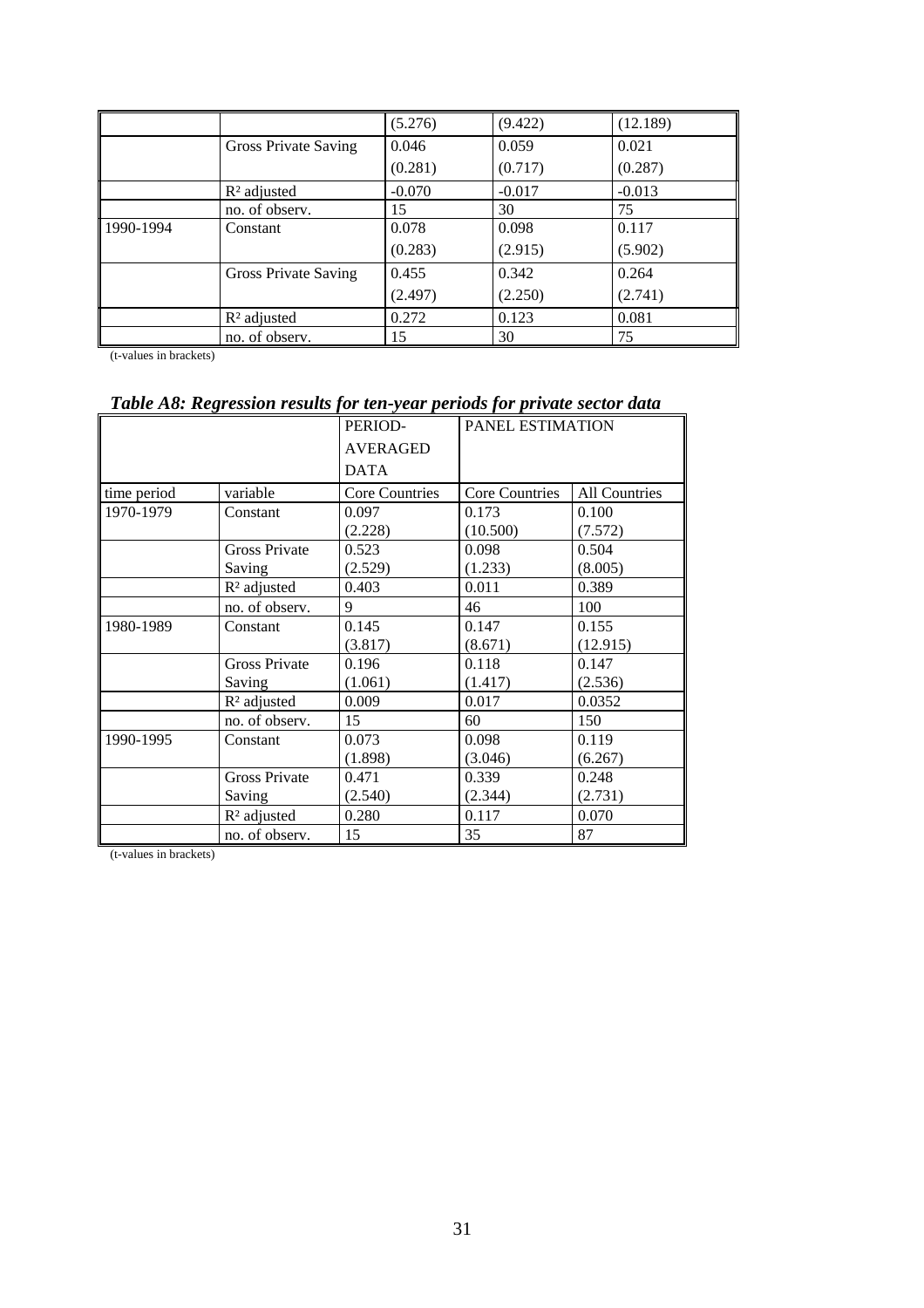|           |                      | (5.276)  | (9.422)  | (12.189) |
|-----------|----------------------|----------|----------|----------|
|           | Gross Private Saving | 0.046    | 0.059    | 0.021    |
|           |                      | (0.281)  | (0.717)  | (0.287)  |
|           | $R2$ adjusted        | $-0.070$ | $-0.017$ | $-0.013$ |
|           | no. of observ.       | 15       | 30       | 75       |
| 1990-1994 | Constant             | 0.078    | 0.098    | 0.117    |
|           |                      | (0.283)  | (2.915)  | (5.902)  |
|           | Gross Private Saving | 0.455    | 0.342    | 0.264    |
|           |                      | (2.497)  | (2.250)  | (2.741)  |
|           | $R2$ adjusted        | 0.272    | 0.123    | 0.081    |
|           | no. of observ.       | 15       | 30       | 75       |

# *Table A8: Regression results for ten-year periods for private sector data*

|             |                         | PERIOD-               | PANEL ESTIMATION      |                      |
|-------------|-------------------------|-----------------------|-----------------------|----------------------|
|             |                         | <b>AVERAGED</b>       |                       |                      |
|             |                         | <b>DATA</b>           |                       |                      |
| time period | variable                | <b>Core Countries</b> | <b>Core Countries</b> | <b>All Countries</b> |
| 1970-1979   | Constant                | 0.097                 | 0.173                 | 0.100                |
|             |                         | (2.228)               | (10.500)              | (7.572)              |
|             | <b>Gross Private</b>    | 0.523                 | 0.098                 | 0.504                |
|             | Saving                  | (2.529)               | (1.233)               | (8.005)              |
|             | R <sup>2</sup> adjusted | 0.403                 | 0.011                 | 0.389                |
|             | no. of observ.          | 9                     | 46                    | 100                  |
| 1980-1989   | Constant                | 0.145                 | 0.147                 | 0.155                |
|             |                         | (3.817)               | (8.671)               | (12.915)             |
|             | <b>Gross Private</b>    | 0.196                 | 0.118                 | 0.147                |
|             | Saving                  | (1.061)               | (1.417)               | (2.536)              |
|             | R <sup>2</sup> adjusted | 0.009                 | 0.017                 | 0.0352               |
|             | no. of observ.          | 15                    | 60                    | 150                  |
| 1990-1995   | Constant                | 0.073                 | 0.098                 | 0.119                |
|             |                         | (1.898)               | (3.046)               | (6.267)              |
|             | <b>Gross Private</b>    | 0.471                 | 0.339                 | 0.248                |
|             | Saving                  | (2.540)               | (2.344)               | (2.731)              |
|             | $R2$ adjusted           | 0.280                 | 0.117                 | 0.070                |
|             | no. of observ.          | 15                    | 35                    | 87                   |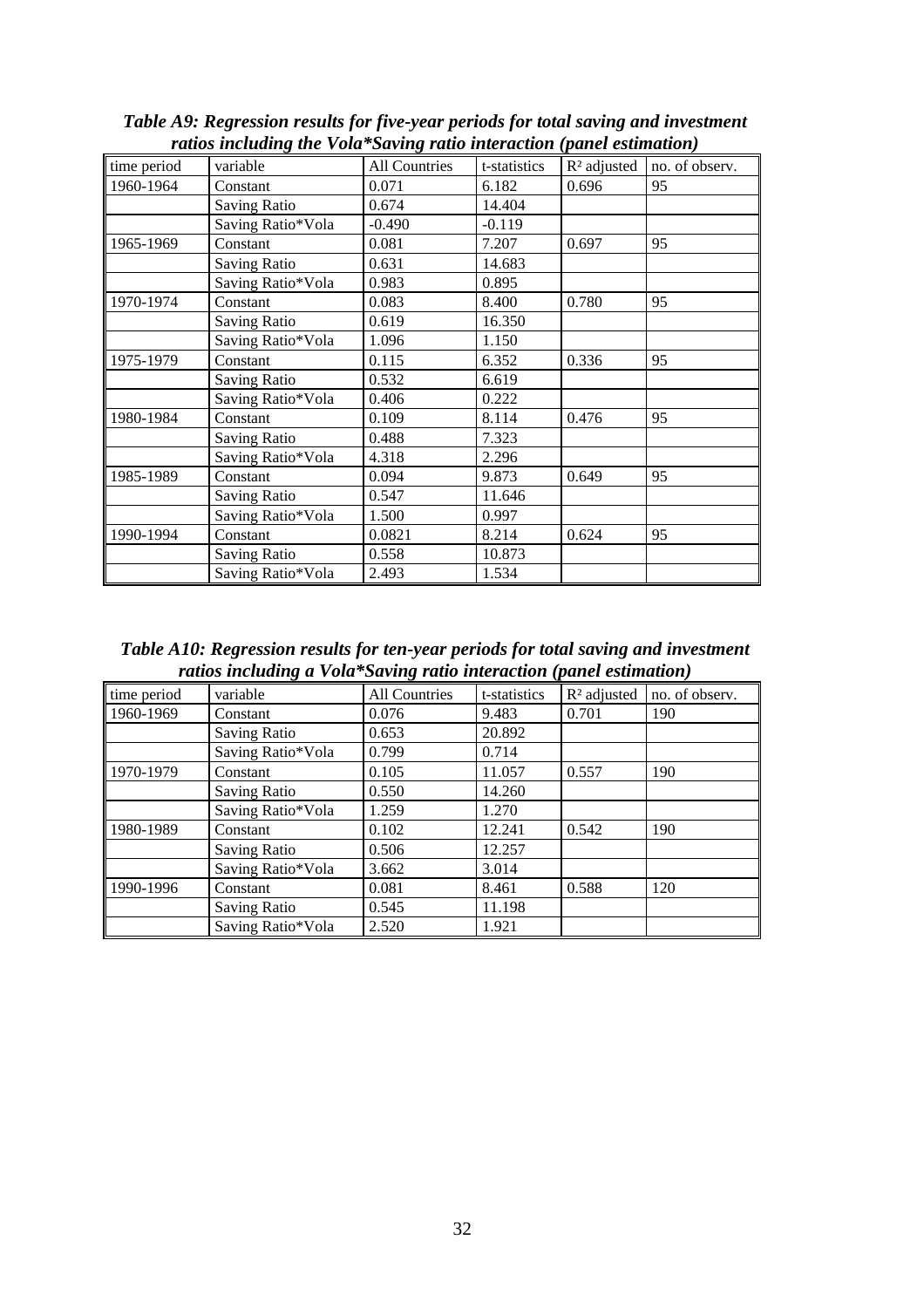| time period | variable            | All Countries | t-statistics | $R2$ adjusted | no. of observ. |
|-------------|---------------------|---------------|--------------|---------------|----------------|
| 1960-1964   | Constant            | 0.071         | 6.182        | 0.696         | 95             |
|             | <b>Saving Ratio</b> | 0.674         | 14.404       |               |                |
|             | Saving Ratio*Vola   | $-0.490$      | $-0.119$     |               |                |
| 1965-1969   | Constant            | 0.081         | 7.207        | 0.697         | 95             |
|             | <b>Saving Ratio</b> | 0.631         | 14.683       |               |                |
|             | Saving Ratio*Vola   | 0.983         | 0.895        |               |                |
| 1970-1974   | Constant            | 0.083         | 8.400        | 0.780         | 95             |
|             | <b>Saving Ratio</b> | 0.619         | 16.350       |               |                |
|             | Saving Ratio*Vola   | 1.096         | 1.150        |               |                |
| 1975-1979   | Constant            | 0.115         | 6.352        | 0.336         | 95             |
|             | <b>Saving Ratio</b> | 0.532         | 6.619        |               |                |
|             | Saving Ratio*Vola   | 0.406         | 0.222        |               |                |
| 1980-1984   | Constant            | 0.109         | 8.114        | 0.476         | 95             |
|             | <b>Saving Ratio</b> | 0.488         | 7.323        |               |                |
|             | Saving Ratio*Vola   | 4.318         | 2.296        |               |                |
| 1985-1989   | Constant            | 0.094         | 9.873        | 0.649         | 95             |
|             | <b>Saving Ratio</b> | 0.547         | 11.646       |               |                |
|             | Saving Ratio*Vola   | 1.500         | 0.997        |               |                |
| 1990-1994   | Constant            | 0.0821        | 8.214        | 0.624         | 95             |
|             | <b>Saving Ratio</b> | 0.558         | 10.873       |               |                |
|             | Saving Ratio*Vola   | 2.493         | 1.534        |               |                |

*Table A9: Regression results for five-year periods for total saving and investment ratios including the Vola\*Saving ratio interaction (panel estimation)*

*Table A10: Regression results for ten-year periods for total saving and investment ratios including a Vola\*Saving ratio interaction (panel estimation)*

| time period | variable            | <b>All Countries</b> | t-statistics | $R2$ adjusted | no. of observ. |
|-------------|---------------------|----------------------|--------------|---------------|----------------|
| 1960-1969   | Constant            | 0.076                | 9.483        | 0.701         | 190            |
|             | <b>Saving Ratio</b> | 0.653                | 20.892       |               |                |
|             | Saving Ratio*Vola   | 0.799                | 0.714        |               |                |
| 1970-1979   | Constant            | 0.105                | 11.057       | 0.557         | 190            |
|             | <b>Saving Ratio</b> | 0.550                | 14.260       |               |                |
|             | Saving Ratio*Vola   | 1.259                | 1.270        |               |                |
| 1980-1989   | Constant            | 0.102                | 12.241       | 0.542         | 190            |
|             | <b>Saving Ratio</b> | 0.506                | 12.257       |               |                |
|             | Saving Ratio*Vola   | 3.662                | 3.014        |               |                |
| 1990-1996   | Constant            | 0.081                | 8.461        | 0.588         | 120            |
|             | <b>Saving Ratio</b> | 0.545                | 11.198       |               |                |
|             | Saving Ratio*Vola   | 2.520                | 1.921        |               |                |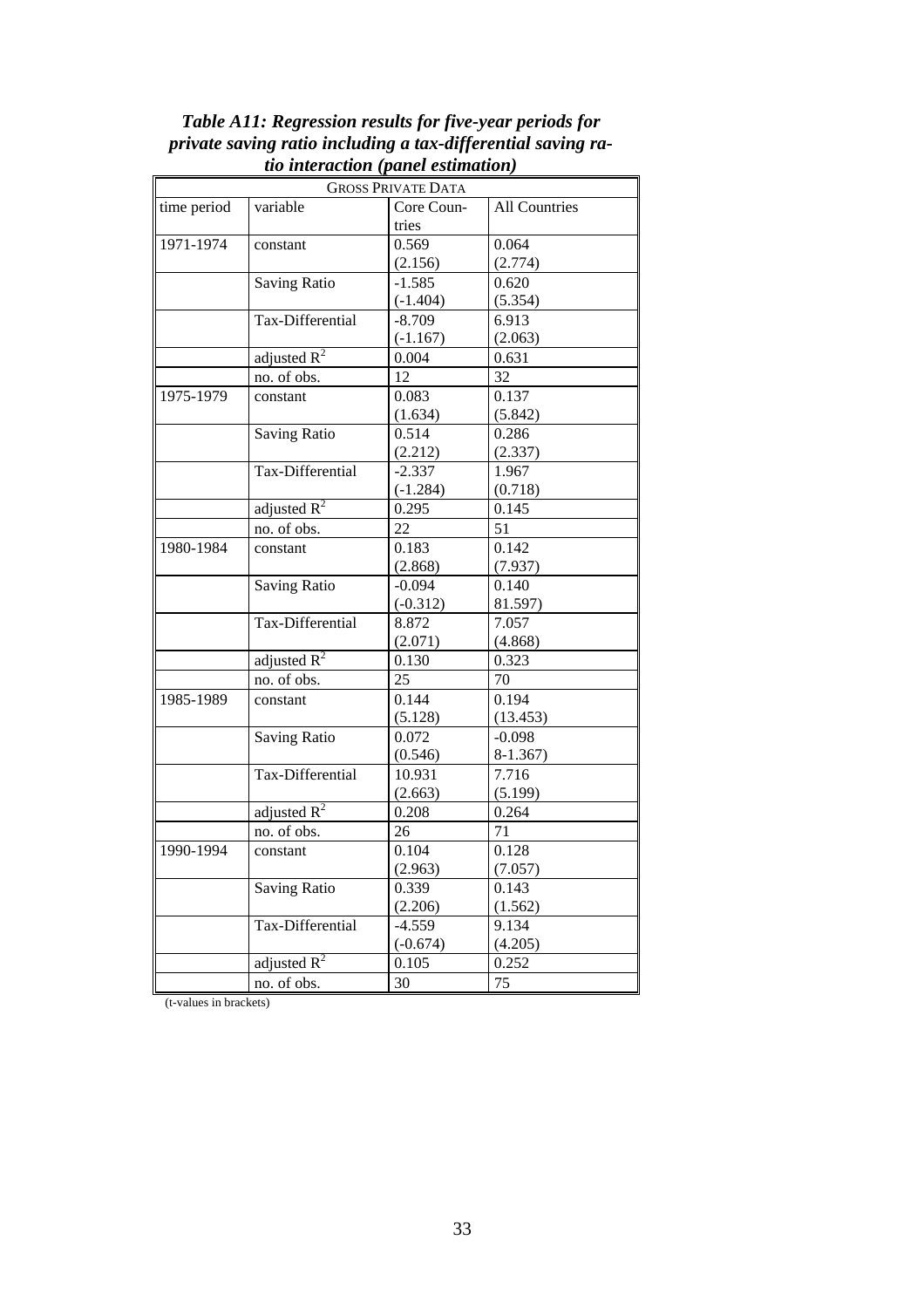|             |                     | <b>GROSS PRIVATE DATA</b> |                      |
|-------------|---------------------|---------------------------|----------------------|
| time period | variable            | Core Coun-                | <b>All Countries</b> |
|             |                     | tries                     |                      |
| 1971-1974   | constant            | 0.569                     | 0.064                |
|             |                     | (2.156)                   | (2.774)              |
|             | <b>Saving Ratio</b> | $-1.585$                  | 0.620                |
|             |                     | $(-1.404)$                | (5.354)              |
|             | Tax-Differential    | $-8.709$                  | 6.913                |
|             |                     | $(-1.167)$                | (2.063)              |
|             | adjusted $R^2$      | 0.004                     | 0.631                |
|             | no. of obs.         | 12                        | 32                   |
| 1975-1979   | constant            | 0.083                     | 0.137                |
|             |                     | (1.634)                   | (5.842)              |
|             | <b>Saving Ratio</b> | 0.514                     | 0.286                |
|             |                     | (2.212)                   | (2.337)              |
|             | Tax-Differential    | $-2.337$                  | 1.967                |
|             |                     | $(-1.284)$                | (0.718)              |
|             | adjusted $R^2$      | 0.295                     | 0.145                |
|             | no. of obs.         | 22                        | 51                   |
| 1980-1984   | constant            | 0.183                     | 0.142                |
|             |                     | (2.868)                   | (7.937)              |
|             | <b>Saving Ratio</b> | $-0.094$                  | 0.140                |
|             |                     | $(-0.312)$                | 81.597)              |
|             | Tax-Differential    | 8.872                     | 7.057                |
|             |                     | (2.071)                   | (4.868)              |
|             | adjusted $R^2$      | 0.130                     | 0.323                |
|             | no. of obs.         | 25                        | 70                   |
| 1985-1989   | constant            | 0.144                     | 0.194                |
|             |                     | (5.128)                   | (13.453)             |
|             | <b>Saving Ratio</b> | 0.072                     | $-0.098$             |
|             |                     | (0.546)                   | $8-1.367$            |
|             | Tax-Differential    | 10.931                    | 7.716                |
|             |                     | (2.663)                   | (5.199)              |
|             | adjusted $R^2$      | 0.208                     | 0.264                |
|             | no. of obs.         | 26                        | 71                   |
| 1990-1994   | constant            | 0.104                     | 0.128                |
|             |                     | (2.963)                   | (7.057)              |
|             | <b>Saving Ratio</b> | 0.339                     | 0.143                |
|             |                     | (2.206)                   | (1.562)              |
|             | Tax-Differential    | $-4.559$                  | 9.134                |
|             |                     | $(-0.674)$                | (4.205)              |
|             | adjusted $R^2$      | 0.105                     | 0.252                |
|             | no. of obs.         | 30                        | 75                   |
|             |                     |                           |                      |

*Table A11: Regression results for five-year periods for private saving ratio including a tax-differential saving ratio interaction (panel estimation)*